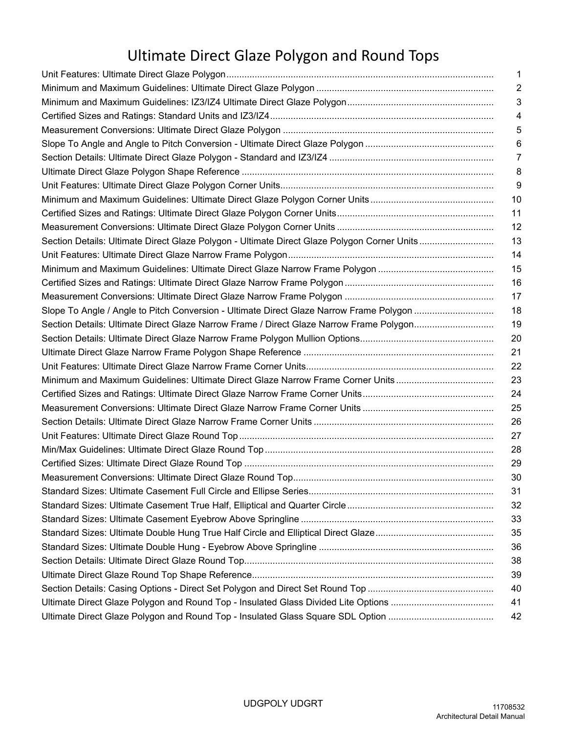# Ultimate Direct Glaze Polygon and Round Tops

|                                                                                             | 1  |
|---------------------------------------------------------------------------------------------|----|
|                                                                                             | 2  |
|                                                                                             | 3  |
|                                                                                             | 4  |
|                                                                                             | 5  |
|                                                                                             | 6  |
|                                                                                             | 7  |
|                                                                                             | 8  |
|                                                                                             | 9  |
|                                                                                             | 10 |
|                                                                                             | 11 |
|                                                                                             | 12 |
| Section Details: Ultimate Direct Glaze Polygon - Ultimate Direct Glaze Polygon Corner Units | 13 |
|                                                                                             | 14 |
|                                                                                             | 15 |
|                                                                                             | 16 |
|                                                                                             | 17 |
| Slope To Angle / Angle to Pitch Conversion - Ultimate Direct Glaze Narrow Frame Polygon     | 18 |
| Section Details: Ultimate Direct Glaze Narrow Frame / Direct Glaze Narrow Frame Polygon     | 19 |
|                                                                                             | 20 |
|                                                                                             | 21 |
|                                                                                             | 22 |
| Minimum and Maximum Guidelines: Ultimate Direct Glaze Narrow Frame Corner Units             | 23 |
|                                                                                             | 24 |
|                                                                                             | 25 |
|                                                                                             | 26 |
|                                                                                             | 27 |
|                                                                                             | 28 |
|                                                                                             | 29 |
|                                                                                             | 30 |
|                                                                                             | 31 |
|                                                                                             | 32 |
|                                                                                             | 33 |
|                                                                                             | 35 |
|                                                                                             | 36 |
|                                                                                             | 38 |
|                                                                                             | 39 |
|                                                                                             | 40 |
|                                                                                             | 41 |
|                                                                                             | 42 |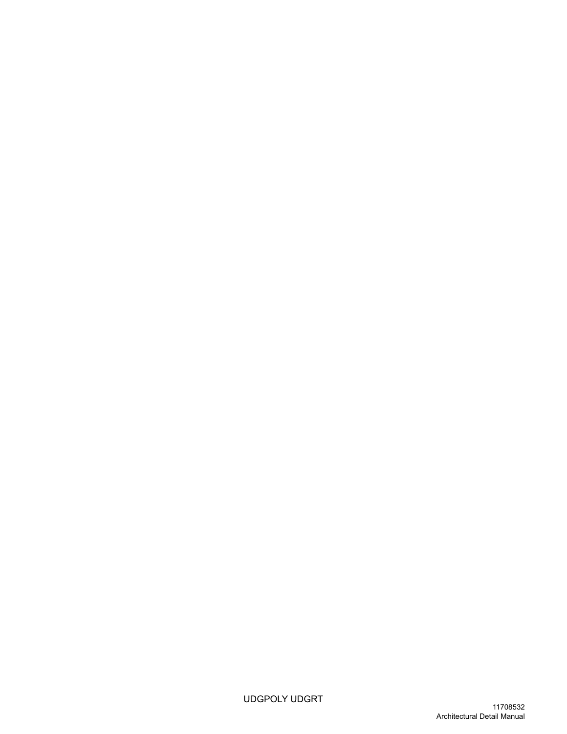UDGPOLY UDGRT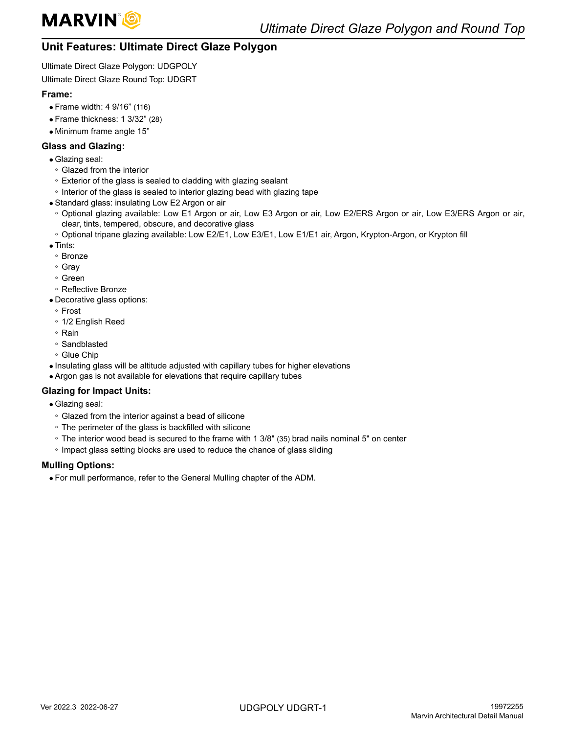

### <span id="page-2-0"></span>**Unit Features: Ultimate Direct Glaze Polygon**

Ultimate Direct Glaze Polygon: UDGPOLY Ultimate Direct Glaze Round Top: UDGRT

#### **Frame:**

- Frame width: 4 9/16" (116)
- Frame thickness: 1 3/32" (28)
- Minimum frame angle 15°

### **Glass and Glazing:**

- Glazing seal:
- Glazed from the interior
- Exterior of the glass is sealed to cladding with glazing sealant
- Interior of the glass is sealed to interior glazing bead with glazing tape
- Standard glass: insulating Low E2 Argon or air
- Optional glazing available: Low E1 Argon or air, Low E3 Argon or air, Low E2/ERS Argon or air, Low E3/ERS Argon or air, clear, tints, tempered, obscure, and decorative glass
- Optional tripane glazing available: Low E2/E1, Low E3/E1, Low E1/E1 air, Argon, Krypton-Argon, or Krypton fill
- Tints:
- Bronze
- Gray
- Green
- Reflective Bronze
- Decorative glass options:
- Frost
- 1/2 English Reed
- Rain
- Sandblasted
- Glue Chip
- . Insulating glass will be altitude adjusted with capillary tubes for higher elevations
- Argon gas is not available for elevations that require capillary tubes

### **Glazing for Impact Units:**

- Glazing seal:
	- Glazed from the interior against a bead of silicone
- The perimeter of the glass is backfilled with silicone
- The interior wood bead is secured to the frame with 1 3/8" (35) brad nails nominal 5" on center
- Impact glass setting blocks are used to reduce the chance of glass sliding

### **Mulling Options:**

For mull performance, refer to the General Mulling chapter of the ADM.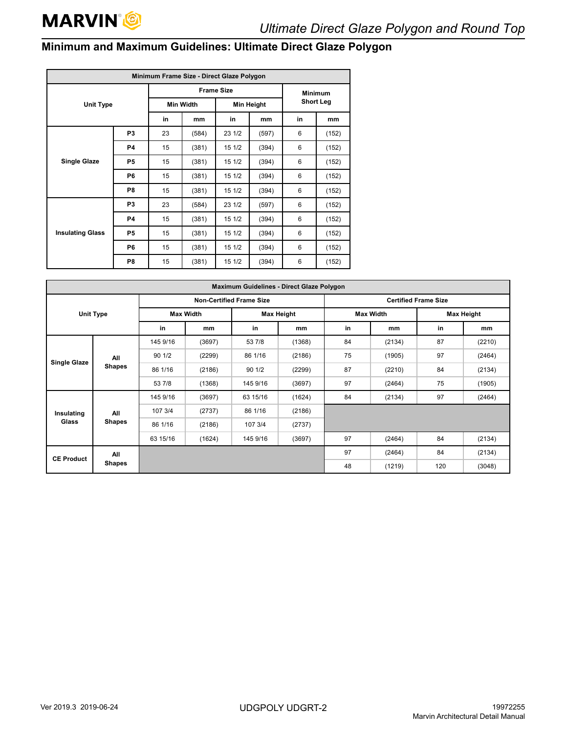# <span id="page-3-0"></span>**Minimum and Maximum Guidelines: Ultimate Direct Glaze Polygon**

|                         |                | Minimum Frame Size - Direct Glaze Polygon |                   |          |                   |                  |       |
|-------------------------|----------------|-------------------------------------------|-------------------|----------|-------------------|------------------|-------|
|                         |                |                                           | <b>Frame Size</b> |          | <b>Minimum</b>    |                  |       |
| <b>Unit Type</b>        |                |                                           | <b>Min Width</b>  |          | <b>Min Height</b> | <b>Short Leg</b> |       |
|                         |                | in                                        | mm                | in<br>mm |                   | in               | mm    |
|                         | P <sub>3</sub> | 23                                        | (584)             | 23 1/2   | (597)             | 6                | (152) |
| <b>Single Glaze</b>     | <b>P4</b>      | 15                                        | (381)             | 15 1/2   | (394)             | 6                | (152) |
|                         | P <sub>5</sub> | 15                                        | (381)             | 15 1/2   | (394)             | 6                | (152) |
|                         | P <sub>6</sub> | 15                                        | (381)             | 15 1/2   | (394)             | 6                | (152) |
|                         | P8             | 15                                        | (381)             | 15 1/2   | (394)             | 6                | (152) |
|                         | P <sub>3</sub> | 23                                        | (584)             | 23 1/2   | (597)             | 6                | (152) |
|                         | <b>P4</b>      | 15                                        | (381)             | 15 1/2   | (394)             | 6                | (152) |
| <b>Insulating Glass</b> | <b>P5</b>      | 15                                        | (381)             | 15 1/2   | (394)             | 6                | (152) |
|                         | P <sub>6</sub> | 15                                        | (381)             | 15 1/2   | (394)             | 6                | (152) |
|                         | P <sub>8</sub> | 15                                        | (381)             | 15 1/2   | (394)             | 6                | (152) |

|                   |                                      |                  |          | Maximum Guidelines - Direct Glaze Polygon |                   |                             |                  |     |                   |  |  |
|-------------------|--------------------------------------|------------------|----------|-------------------------------------------|-------------------|-----------------------------|------------------|-----|-------------------|--|--|
|                   |                                      |                  |          | <b>Non-Certified Frame Size</b>           |                   | <b>Certified Frame Size</b> |                  |     |                   |  |  |
| <b>Unit Type</b>  |                                      | <b>Max Width</b> |          |                                           | <b>Max Height</b> |                             | <b>Max Width</b> |     | <b>Max Height</b> |  |  |
|                   |                                      | in               | in<br>mm |                                           | mm                | in                          | mm               | in  | mm                |  |  |
|                   |                                      | 145 9/16         | (3697)   | 53 7/8                                    | (1368)            | 84                          | (2134)           | 87  | (2210)            |  |  |
|                   | All                                  | 90 1/2           | (2299)   | 86 1/16                                   | (2186)            | 75                          | (1905)           | 97  | (2464)            |  |  |
|                   | <b>Single Glaze</b><br><b>Shapes</b> | 86 1/16          | (2186)   | 90 1/2                                    | (2299)            | 87                          | (2210)           | 84  | (2134)            |  |  |
|                   |                                      | 53 7/8           | (1368)   | 145 9/16                                  | (3697)            | 97                          | (2464)           | 75  | (1905)            |  |  |
|                   |                                      | 145 9/16         | (3697)   | 63 15/16                                  | (1624)            | 84                          | (2134)           | 97  | (2464)            |  |  |
| Insulating        | All                                  | 107 3/4          | (2737)   | 86 1/16                                   | (2186)            |                             |                  |     |                   |  |  |
| <b>Glass</b>      | <b>Shapes</b>                        | 86 1/16          | (2186)   | 107 3/4                                   | (2737)            |                             |                  |     |                   |  |  |
|                   |                                      | 63 15/16         | (1624)   | 145 9/16                                  | (3697)            | 97                          | (2464)           | 84  | (2134)            |  |  |
| <b>CE Product</b> | All                                  |                  |          |                                           |                   | 97                          | (2464)           | 84  | (2134)            |  |  |
|                   | <b>Shapes</b>                        |                  |          |                                           |                   | 48                          | (1219)           | 120 | (3048)            |  |  |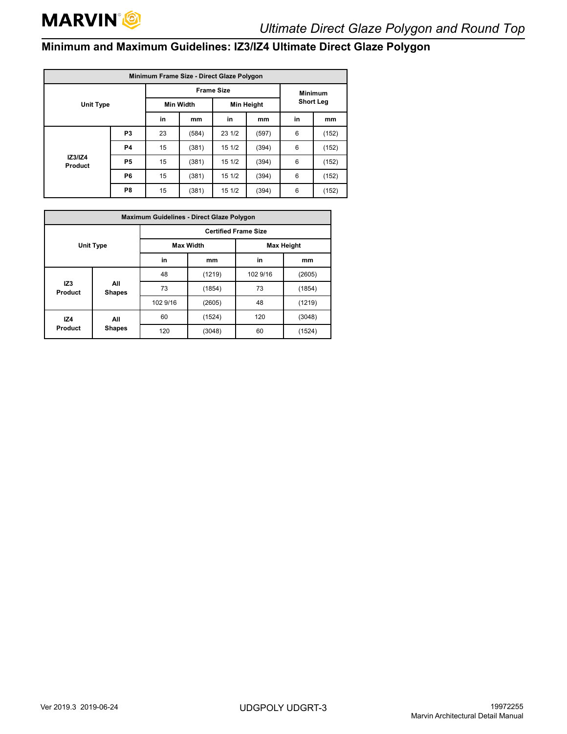# <span id="page-4-0"></span>**Minimum and Maximum Guidelines: IZ3/IZ4 Ultimate Direct Glaze Polygon**

| Minimum Frame Size - Direct Glaze Polygon |                |    |                   |                |                   |                  |       |  |  |  |  |
|-------------------------------------------|----------------|----|-------------------|----------------|-------------------|------------------|-------|--|--|--|--|
|                                           |                |    | <b>Frame Size</b> | <b>Minimum</b> |                   |                  |       |  |  |  |  |
| <b>Unit Type</b>                          |                |    | <b>Min Width</b>  |                | <b>Min Height</b> | <b>Short Leg</b> |       |  |  |  |  |
|                                           |                | in | mm                | in             | mm                |                  | mm    |  |  |  |  |
|                                           | P3             | 23 | (584)             | 23 1/2         | (597)             | 6                | (152) |  |  |  |  |
|                                           | <b>P4</b>      | 15 | (381)             | 15 1/2         | (394)             | 6                | (152) |  |  |  |  |
| IZ3/IZ4<br>Product                        | <b>P5</b>      | 15 | (381)             | 15 1/2         | (394)             | 6                | (152) |  |  |  |  |
|                                           | P <sub>6</sub> | 15 | (381)             | 151/2          | (394)             | 6                | (152) |  |  |  |  |
|                                           | P8             | 15 | (381)             | 15 1/2         | (394)             | 6                | (152) |  |  |  |  |

|                  | <b>Maximum Guidelines - Direct Glaze Polygon</b> |          |                  |                             |                   |  |  |  |  |  |  |  |
|------------------|--------------------------------------------------|----------|------------------|-----------------------------|-------------------|--|--|--|--|--|--|--|
|                  |                                                  |          |                  | <b>Certified Frame Size</b> |                   |  |  |  |  |  |  |  |
| <b>Unit Type</b> |                                                  |          | <b>Max Width</b> |                             | <b>Max Height</b> |  |  |  |  |  |  |  |
|                  |                                                  | in       | mm               | in                          | mm                |  |  |  |  |  |  |  |
|                  |                                                  | 48       | (1219)           | 102 9/16                    | (2605)            |  |  |  |  |  |  |  |
| IZ3<br>Product   | All<br><b>Shapes</b>                             | 73       | (1854)           | 73                          | (1854)            |  |  |  |  |  |  |  |
|                  |                                                  | 102 9/16 | (2605)           | 48                          | (1219)            |  |  |  |  |  |  |  |
| IZ4              | All                                              |          | (1524)           | 120                         | (3048)            |  |  |  |  |  |  |  |
| Product          | <b>Shapes</b>                                    | 120      | (3048)<br>60     |                             | (1524)            |  |  |  |  |  |  |  |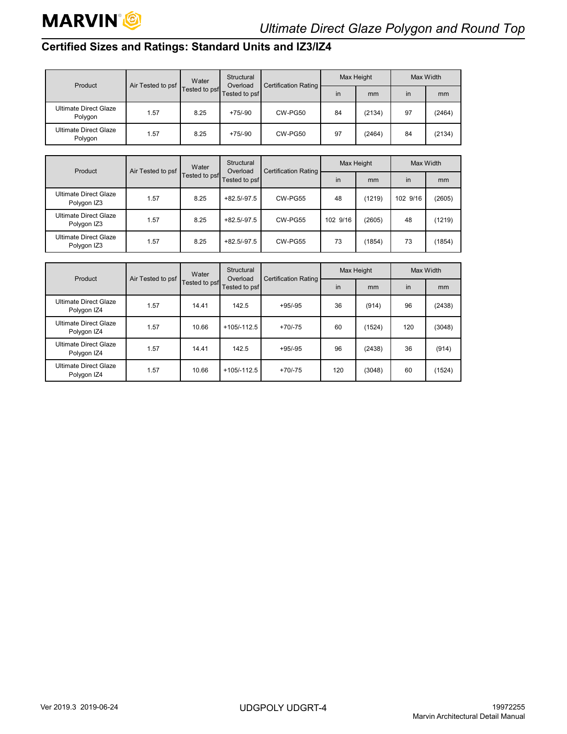

## <span id="page-5-0"></span>**Certified Sizes and Ratings: Standard Units and IZ3/IZ4**

| Product                          | Air Tested to psf | Water                | Structural<br>Overload | <b>Certification Rating</b> |    | Max Height | Max Width |        |
|----------------------------------|-------------------|----------------------|------------------------|-----------------------------|----|------------|-----------|--------|
|                                  |                   | <b>Tested to psf</b> | Tested to psf          |                             | in | mm         | in        | mm     |
| Ultimate Direct Glaze<br>Polygon | 1.57              | 8.25                 | $+75/-90$              | CW-PG50                     | 84 | (2134)     | 97        | (2464) |
| Ultimate Direct Glaze<br>Polygon | 1.57              | 8.25                 | $+75/-90$              | CW-PG50                     | 97 | (2464)     | 84        | (2134) |

| Product                                     | Air Tested to psf | Water          | Structural<br>Overload | <b>Certification Rating</b> |          | Max Height | Max Width |        |
|---------------------------------------------|-------------------|----------------|------------------------|-----------------------------|----------|------------|-----------|--------|
|                                             |                   | Tested to psf. | Tested to psf          |                             | in       | mm         | in        | mm     |
| <b>Ultimate Direct Glaze</b><br>Polygon IZ3 | 1.57              | 8.25           | +82.5/-97.5            | CW-PG55                     | 48       | (1219)     | 102 9/16  | (2605) |
| <b>Ultimate Direct Glaze</b><br>Polygon IZ3 | 1.57              | 8.25           | $+82.5/-97.5$          | CW-PG55                     | 102 9/16 | (2605)     | 48        | (1219) |
| <b>Ultimate Direct Glaze</b><br>Polygon IZ3 | 1.57              | 8.25           | $+82.5/-97.5$          | CW-PG55                     | 73       | (1854)     | 73        | (1854) |

| Product                                     | Air Tested to psf | Water         | Structural<br>Overload | <b>Certification Rating</b> | Max Height |        | Max Width |        |
|---------------------------------------------|-------------------|---------------|------------------------|-----------------------------|------------|--------|-----------|--------|
|                                             |                   | Tested to psf | Tested to psf          |                             | in         | mm     | in        | mm     |
| Ultimate Direct Glaze<br>Polygon IZ4        | 1.57              | 14.41         | 142.5                  | $+95/95$                    | 36         | (914)  | 96        | (2438) |
| Ultimate Direct Glaze<br>Polygon IZ4        | 1.57              | 10.66         | $+105/112.5$           | $+70/-75$                   | 60         | (1524) | 120       | (3048) |
| Ultimate Direct Glaze<br>Polygon IZ4        | 1.57              | 14.41         | 142.5                  | $+95/95$                    | 96         | (2438) | 36        | (914)  |
| <b>Ultimate Direct Glaze</b><br>Polygon IZ4 | 1.57              | 10.66         | $+105/-112.5$          | $+70/-75$                   | 120        | (3048) | 60        | (1524) |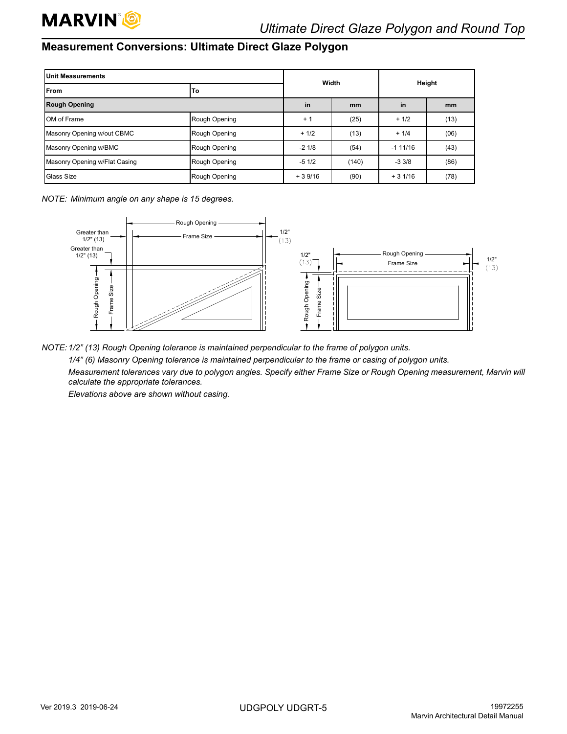

### <span id="page-6-0"></span>**Measurement Conversions: Ultimate Direct Glaze Polygon**

| <b>Unit Measurements</b>                       |               | Width    |       | Height    |      |  |
|------------------------------------------------|---------------|----------|-------|-----------|------|--|
| From                                           | ΙTο           |          |       |           |      |  |
| <b>Rough Opening</b>                           |               | in       | mm    | in        | mm   |  |
| OM of Frame<br>Rough Opening                   |               | $+1$     | (25)  | $+1/2$    | (13) |  |
| Masonry Opening w/out CBMC                     | Rough Opening | $+1/2$   | (13)  | $+ 1/4$   | (06) |  |
| Masonry Opening w/BMC                          | Rough Opening | $-21/8$  | (54)  | $-111/16$ | (43) |  |
| Rough Opening<br>Masonry Opening w/Flat Casing |               | $-51/2$  | (140) | $-33/8$   | (86) |  |
| Glass Size                                     | Rough Opening | $+39/16$ | (90)  | $+31/16$  | (78) |  |

*NOTE: Minimum angle on any shape is 15 degrees.* 



*NOTE: 1/2" (13) Rough Opening tolerance is maintained perpendicular to the frame of polygon units.*

*1/4" (6) Masonry Opening tolerance is maintained perpendicular to the frame or casing of polygon units.*

*Measurement tolerances vary due to polygon angles. Specify either Frame Size or Rough Opening measurement, Marvin will calculate the appropriate tolerances.*

*Elevations above are shown without casing.*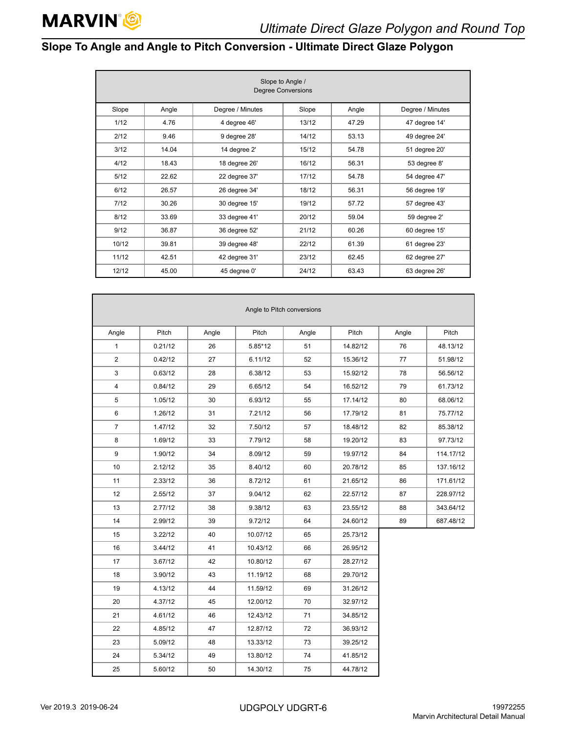# <span id="page-7-0"></span>**Slope To Angle and Angle to Pitch Conversion - Ultimate Direct Glaze Polygon**

|       | Slope to Angle /<br><b>Degree Conversions</b> |                  |       |       |                  |  |  |  |  |  |  |  |
|-------|-----------------------------------------------|------------------|-------|-------|------------------|--|--|--|--|--|--|--|
| Slope | Angle                                         | Degree / Minutes | Slope | Angle | Degree / Minutes |  |  |  |  |  |  |  |
| 1/12  | 4.76                                          | 4 degree 46'     | 13/12 | 47.29 | 47 degree 14'    |  |  |  |  |  |  |  |
| 2/12  | 9.46                                          | 9 degree 28'     | 14/12 | 53.13 | 49 degree 24'    |  |  |  |  |  |  |  |
| 3/12  | 14.04                                         | 14 degree 2'     | 15/12 | 54.78 | 51 degree 20'    |  |  |  |  |  |  |  |
| 4/12  | 18.43                                         | 18 degree 26'    | 16/12 | 56.31 | 53 degree 8'     |  |  |  |  |  |  |  |
| 5/12  | 22.62                                         | 22 degree 37'    | 17/12 | 54.78 | 54 degree 47'    |  |  |  |  |  |  |  |
| 6/12  | 26.57                                         | 26 degree 34'    | 18/12 | 56.31 | 56 degree 19'    |  |  |  |  |  |  |  |
| 7/12  | 30.26                                         | 30 degree 15'    | 19/12 | 57.72 | 57 degree 43'    |  |  |  |  |  |  |  |
| 8/12  | 33.69                                         | 33 degree 41'    | 20/12 | 59.04 | 59 degree 2'     |  |  |  |  |  |  |  |
| 9/12  | 36.87                                         | 36 degree 52'    | 21/12 | 60.26 | 60 degree 15'    |  |  |  |  |  |  |  |
| 10/12 | 39.81                                         | 39 degree 48'    | 22/12 | 61.39 | 61 degree 23'    |  |  |  |  |  |  |  |
| 11/12 | 42.51                                         | 42 degree 31'    | 23/12 | 62.45 | 62 degree 27'    |  |  |  |  |  |  |  |
| 12/12 | 45.00                                         | 45 degree 0'     | 24/12 | 63.43 | 63 degree 26'    |  |  |  |  |  |  |  |

|                  | Angle to Pitch conversions |       |          |       |          |       |           |  |  |  |  |  |
|------------------|----------------------------|-------|----------|-------|----------|-------|-----------|--|--|--|--|--|
| Angle            | Pitch                      | Angle | Pitch    | Angle | Pitch    | Angle | Pitch     |  |  |  |  |  |
| $\mathbf{1}$     | 0.21/12                    | 26    | 5.85*12  | 51    | 14.82/12 | 76    | 48.13/12  |  |  |  |  |  |
| $\overline{2}$   | 0.42/12                    | 27    | 6.11/12  | 52    | 15.36/12 | 77    | 51.98/12  |  |  |  |  |  |
| 3                | 0.63/12                    | 28    | 6.38/12  | 53    | 15.92/12 | 78    | 56.56/12  |  |  |  |  |  |
| 4                | 0.84/12                    | 29    | 6.65/12  | 54    | 16.52/12 | 79    | 61.73/12  |  |  |  |  |  |
| 5                | 1.05/12                    | 30    | 6.93/12  | 55    | 17.14/12 | 80    | 68.06/12  |  |  |  |  |  |
| 6                | 1.26/12                    | 31    | 7.21/12  | 56    | 17.79/12 | 81    | 75.77/12  |  |  |  |  |  |
| $\overline{7}$   | 1.47/12                    | 32    | 7.50/12  | 57    | 18.48/12 | 82    | 85.38/12  |  |  |  |  |  |
| 8                | 1.69/12                    | 33    | 7.79/12  | 58    | 19.20/12 | 83    | 97.73/12  |  |  |  |  |  |
| $\boldsymbol{9}$ | 1.90/12                    | 34    | 8.09/12  | 59    | 19.97/12 | 84    | 114.17/12 |  |  |  |  |  |
| 10               | 2.12/12                    | 35    | 8.40/12  | 60    | 20.78/12 | 85    | 137.16/12 |  |  |  |  |  |
| 11               | 2.33/12                    | 36    | 8.72/12  | 61    | 21.65/12 | 86    | 171.61/12 |  |  |  |  |  |
| 12               | 2.55/12                    | 37    | 9.04/12  | 62    | 22.57/12 | 87    | 228.97/12 |  |  |  |  |  |
| 13               | 2.77/12                    | 38    | 9.38/12  | 63    | 23.55/12 | 88    | 343.64/12 |  |  |  |  |  |
| 14               | 2.99/12                    | 39    | 9.72/12  | 64    | 24.60/12 | 89    | 687.48/12 |  |  |  |  |  |
| 15               | 3.22/12                    | 40    | 10.07/12 | 65    | 25.73/12 |       |           |  |  |  |  |  |
| 16               | 3.44/12                    | 41    | 10.43/12 | 66    | 26.95/12 |       |           |  |  |  |  |  |
| 17               | 3.67/12                    | 42    | 10.80/12 | 67    | 28.27/12 |       |           |  |  |  |  |  |
| 18               | 3.90/12                    | 43    | 11.19/12 | 68    | 29.70/12 |       |           |  |  |  |  |  |
| 19               | 4.13/12                    | 44    | 11.59/12 | 69    | 31.26/12 |       |           |  |  |  |  |  |
| 20               | 4.37/12                    | 45    | 12.00/12 | 70    | 32.97/12 |       |           |  |  |  |  |  |
| 21               | 4.61/12                    | 46    | 12.43/12 | 71    | 34.85/12 |       |           |  |  |  |  |  |
| 22               | 4.85/12                    | 47    | 12.87/12 | 72    | 36.93/12 |       |           |  |  |  |  |  |
| 23               | 5.09/12                    | 48    | 13.33/12 | 73    | 39.25/12 |       |           |  |  |  |  |  |
| 24               | 5.34/12                    | 49    | 13.80/12 | 74    | 41.85/12 |       |           |  |  |  |  |  |
| 25               | 5.60/12                    | 50    | 14.30/12 | 75    | 44.78/12 |       |           |  |  |  |  |  |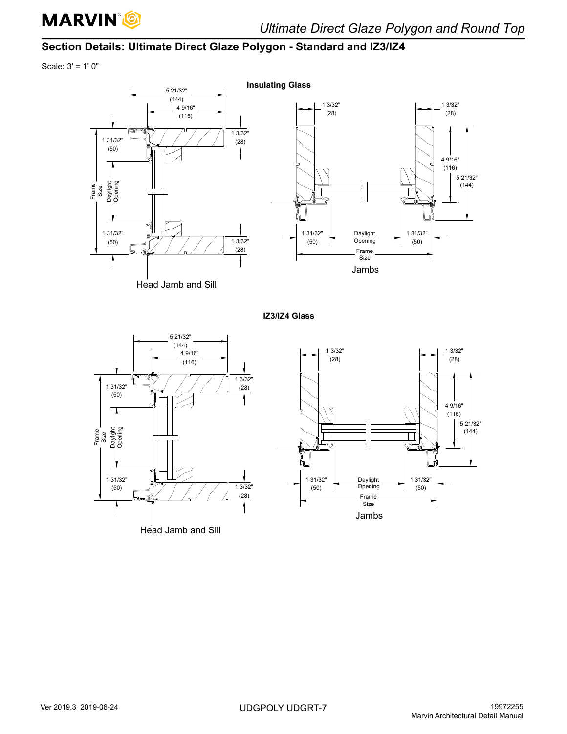

### <span id="page-8-0"></span>**Section Details: Ultimate Direct Glaze Polygon - Standard and IZ3/IZ4**

Scale: 3' = 1' 0"





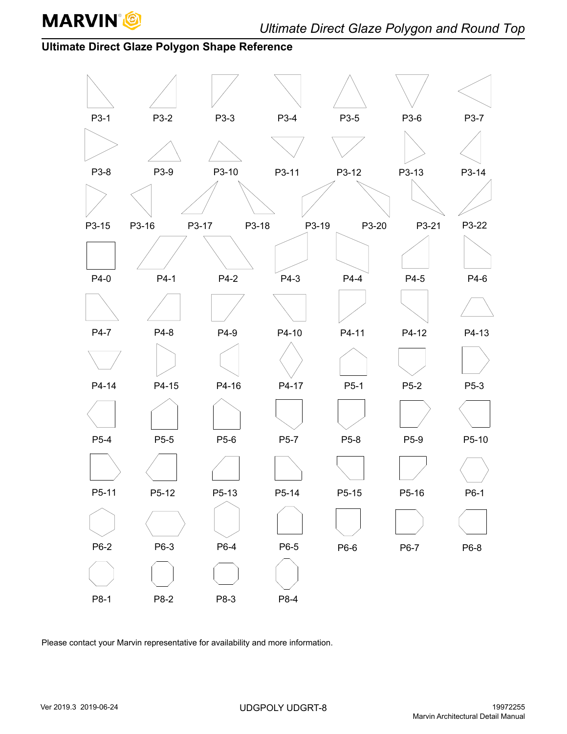

## <span id="page-9-0"></span>**Ultimate Direct Glaze Polygon Shape Reference**



Please contact your Marvin representative for availability and more information.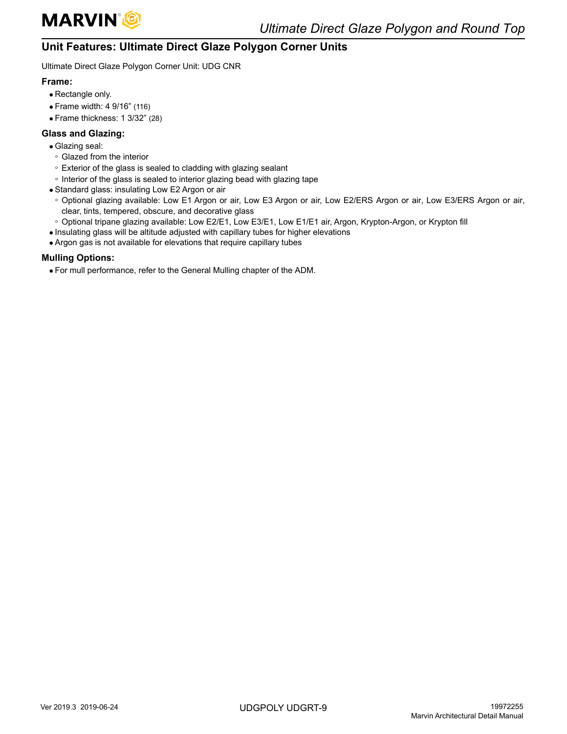

### <span id="page-10-0"></span>**Unit Features: Ultimate Direct Glaze Polygon Corner Units**

Ultimate Direct Glaze Polygon Corner Unit: UDG CNR

### **Frame:**

- Rectangle only.
- Frame width: 4 9/16" (116)
- Frame thickness: 1 3/32" (28)

### **Glass and Glazing:**

- Glazing seal:
- Glazed from the interior
- Exterior of the glass is sealed to cladding with glazing sealant
- Interior of the glass is sealed to interior glazing bead with glazing tape
- Standard glass: insulating Low E2 Argon or air
- Optional glazing available: Low E1 Argon or air, Low E3 Argon or air, Low E2/ERS Argon or air, Low E3/ERS Argon or air, clear, tints, tempered, obscure, and decorative glass
- Optional tripane glazing available: Low E2/E1, Low E3/E1, Low E1/E1 air, Argon, Krypton-Argon, or Krypton fill
- Insulating glass will be altitude adjusted with capillary tubes for higher elevations
- Argon gas is not available for elevations that require capillary tubes

### **Mulling Options:**

For mull performance, refer to the General Mulling chapter of the ADM.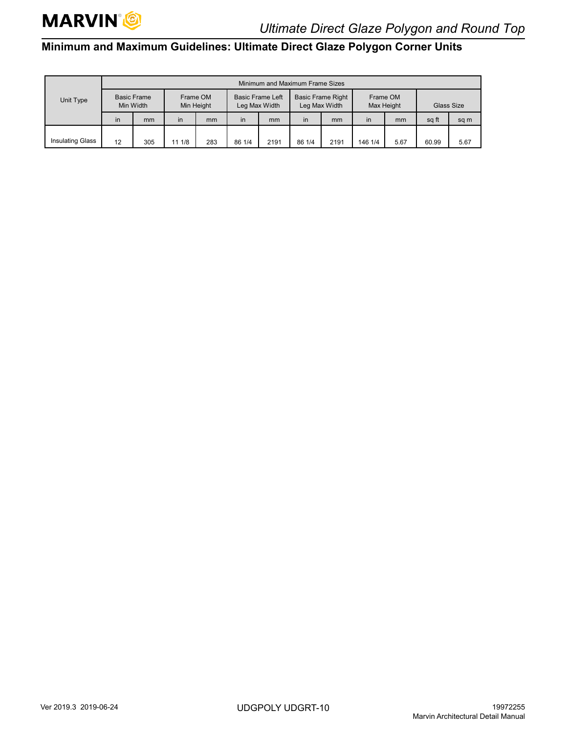

# <span id="page-11-0"></span>**Minimum and Maximum Guidelines: Ultimate Direct Glaze Polygon Corner Units**

|                         |                                 | Minimum and Maximum Frame Sizes |                        |     |                                          |      |                                           |      |                        |      |            |      |  |
|-------------------------|---------------------------------|---------------------------------|------------------------|-----|------------------------------------------|------|-------------------------------------------|------|------------------------|------|------------|------|--|
| Unit Type               | <b>Basic Frame</b><br>Min Width |                                 | Frame OM<br>Min Height |     | <b>Basic Frame Left</b><br>Leg Max Width |      | <b>Basic Frame Right</b><br>Leg Max Width |      | Frame OM<br>Max Height |      | Glass Size |      |  |
|                         | in                              | mm                              | in                     | mm  | $\mathsf{in}$                            | mm   | in                                        | mm   | in                     | mm   | sq ft      | sq m |  |
| <b>Insulating Glass</b> | 12                              | 305                             | 1/8<br>11              | 283 | 86 1/4                                   | 2191 | 86 1/4                                    | 2191 | 146 1/4                | 5.67 | 60.99      | 5.67 |  |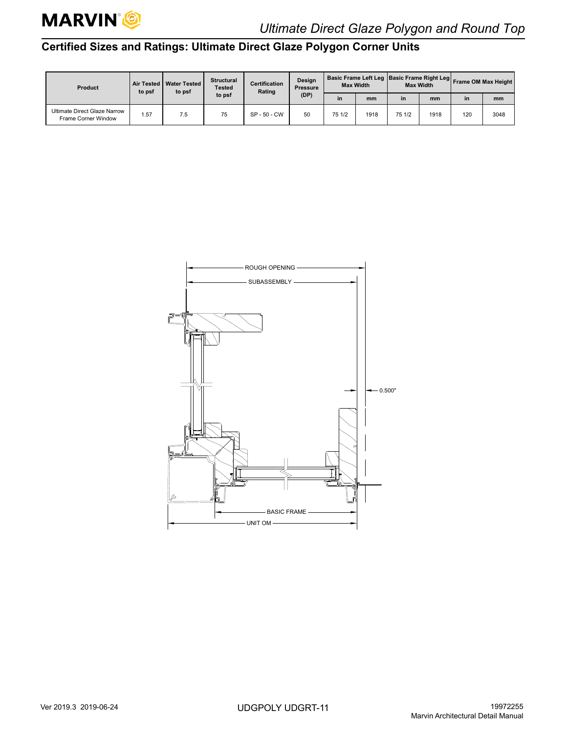

# <span id="page-12-0"></span>**Certified Sizes and Ratings: Ultimate Direct Glaze Polygon Corner Units**

| <b>Product</b>                                      | <b>Air Tested</b><br><b>Water Tested</b><br>to psf<br>to psf |     | <b>Structural</b><br><b>Tested</b> | <b>Certification</b><br>Rating | Design<br><b>Pressure</b> | Basic Frame Left Leg Basic Frame Right Leg Frame OM Max Height<br><b>Max Width</b> |      | <b>Max Width</b> |      |     |      |
|-----------------------------------------------------|--------------------------------------------------------------|-----|------------------------------------|--------------------------------|---------------------------|------------------------------------------------------------------------------------|------|------------------|------|-----|------|
|                                                     |                                                              |     | to psf                             |                                | (DP)                      | in                                                                                 | mm   | in               | mm   | in  | mm   |
| Ultimate Direct Glaze Narrow<br>Frame Corner Window | 1.57                                                         | 7.5 | 75                                 | $SP - 50 - CW$                 | 50                        | 75 1/2                                                                             | 1918 | 75 1/2           | 1918 | 120 | 3048 |

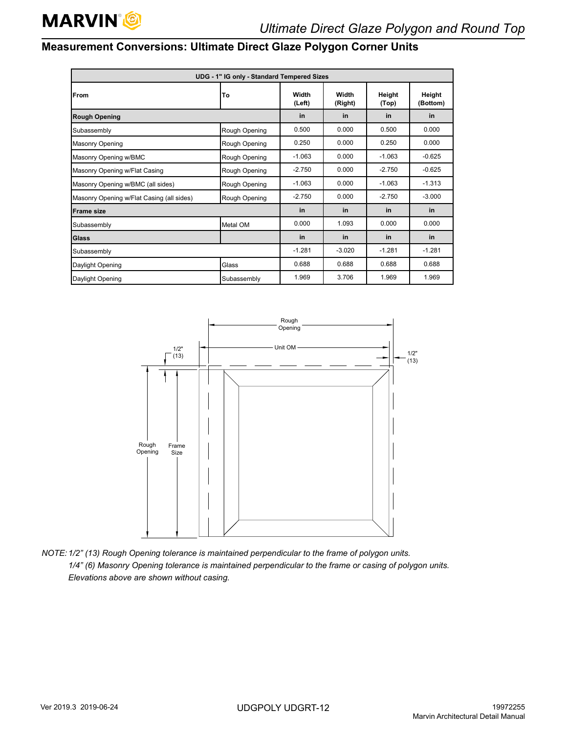## <span id="page-13-0"></span>**Measurement Conversions: Ultimate Direct Glaze Polygon Corner Units**

|                                           | UDG - 1" IG only - Standard Tempered Sizes |                 |                  |                 |                    |  |  |  |  |  |  |
|-------------------------------------------|--------------------------------------------|-----------------|------------------|-----------------|--------------------|--|--|--|--|--|--|
| From                                      | То                                         | Width<br>(Left) | Width<br>(Right) | Height<br>(Top) | Height<br>(Bottom) |  |  |  |  |  |  |
| <b>Rough Opening</b>                      |                                            | in              | in               | in              | in                 |  |  |  |  |  |  |
| Subassembly                               | Rough Opening                              | 0.500           | 0.000            | 0.500           | 0.000              |  |  |  |  |  |  |
| Masonry Opening                           | Rough Opening                              | 0.250           | 0.000            | 0.250           | 0.000              |  |  |  |  |  |  |
| Masonry Opening w/BMC                     | Rough Opening                              | $-1.063$        | 0.000            | $-1.063$        | $-0.625$           |  |  |  |  |  |  |
| Masonry Opening w/Flat Casing             | Rough Opening                              | $-2.750$        | 0.000            | $-2.750$        | $-0.625$           |  |  |  |  |  |  |
| Masonry Opening w/BMC (all sides)         | Rough Opening                              | $-1.063$        | 0.000            | $-1.063$        | $-1.313$           |  |  |  |  |  |  |
| Masonry Opening w/Flat Casing (all sides) | Rough Opening                              | $-2.750$        | 0.000            | $-2.750$        | $-3.000$           |  |  |  |  |  |  |
| <b>Frame size</b>                         |                                            | in              | in               | in              | in                 |  |  |  |  |  |  |
| Subassembly                               | Metal OM                                   | 0.000           | 1.093            | 0.000           | 0.000              |  |  |  |  |  |  |
| <b>Glass</b>                              |                                            | in              | in               | in              | in                 |  |  |  |  |  |  |
| Subassembly                               |                                            | $-1.281$        | $-3.020$         | $-1.281$        | $-1.281$           |  |  |  |  |  |  |
| Daylight Opening                          | Glass                                      | 0.688           | 0.688            | 0.688           | 0.688              |  |  |  |  |  |  |
| Daylight Opening                          | Subassembly                                | 1.969           | 3.706            | 1.969           | 1.969              |  |  |  |  |  |  |



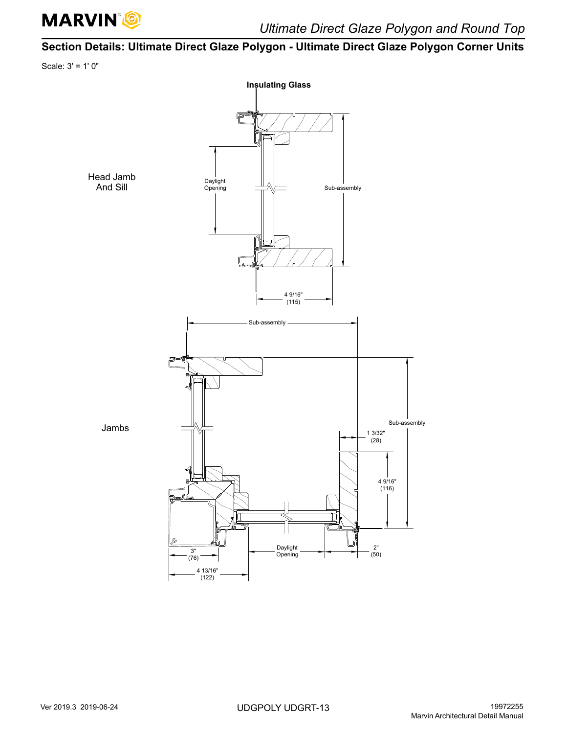

<span id="page-14-0"></span>**Section Details: Ultimate Direct Glaze Polygon - Ultimate Direct Glaze Polygon Corner Units**

Scale: 3' = 1' 0"

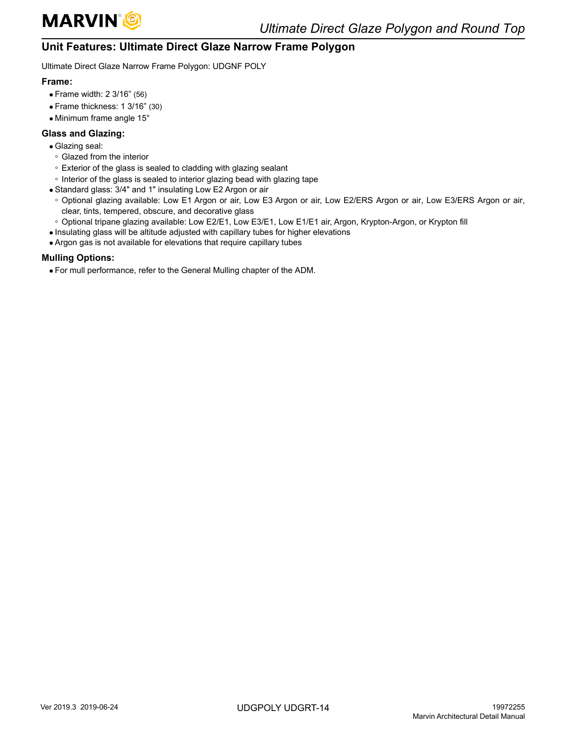

### <span id="page-15-0"></span>**Unit Features: Ultimate Direct Glaze Narrow Frame Polygon**

Ultimate Direct Glaze Narrow Frame Polygon: UDGNF POLY

#### **Frame:**

- Frame width: 2 3/16" (56)
- Frame thickness: 1 3/16" (30)
- Minimum frame angle 15°

#### **Glass and Glazing:**

- Glazing seal:
- Glazed from the interior
- Exterior of the glass is sealed to cladding with glazing sealant
- Interior of the glass is sealed to interior glazing bead with glazing tape
- Standard glass: 3/4" and 1" insulating Low E2 Argon or air
- Optional glazing available: Low E1 Argon or air, Low E3 Argon or air, Low E2/ERS Argon or air, Low E3/ERS Argon or air, clear, tints, tempered, obscure, and decorative glass
- Optional tripane glazing available: Low E2/E1, Low E3/E1, Low E1/E1 air, Argon, Krypton-Argon, or Krypton fill
- Insulating glass will be altitude adjusted with capillary tubes for higher elevations
- Argon gas is not available for elevations that require capillary tubes

#### **Mulling Options:**

For mull performance, refer to the General Mulling chapter of the ADM.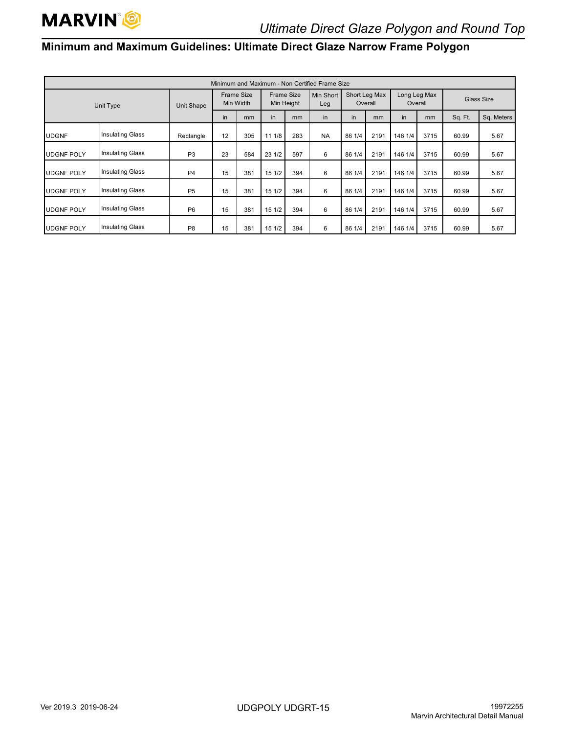

# <span id="page-16-0"></span>**Minimum and Maximum Guidelines: Ultimate Direct Glaze Narrow Frame Polygon**

|                   | Minimum and Maximum - Non Certified Frame Size |                |                                |     |                                 |     |                  |                          |      |                         |      |                   |            |
|-------------------|------------------------------------------------|----------------|--------------------------------|-----|---------------------------------|-----|------------------|--------------------------|------|-------------------------|------|-------------------|------------|
| Unit Type         |                                                | Unit Shape     | <b>Frame Size</b><br>Min Width |     | <b>Frame Size</b><br>Min Height |     | Min Short<br>Leg | Short Leg Max<br>Overall |      | Long Leg Max<br>Overall |      | <b>Glass Size</b> |            |
|                   |                                                |                | in                             | mm  | in                              | mm  | in               | in                       | mm   | in                      | mm   | Sq. Ft.           | Sq. Meters |
| <b>UDGNF</b>      | <b>Insulating Glass</b>                        | Rectangle      | 12                             | 305 | 11 1/8                          | 283 | <b>NA</b>        | 86 1/4                   | 2191 | 146 1/4                 | 3715 | 60.99             | 5.67       |
| <b>UDGNF POLY</b> | <b>Insulating Glass</b>                        | P <sub>3</sub> | 23                             | 584 | 23 1/2                          | 597 | 6                | 86 1/4                   | 2191 | 146 1/4                 | 3715 | 60.99             | 5.67       |
| <b>UDGNF POLY</b> | <b>Insulating Glass</b>                        | P <sub>4</sub> | 15                             | 381 | 15 1/2                          | 394 | 6                | 86 1/4                   | 2191 | 146 1/4                 | 3715 | 60.99             | 5.67       |
| <b>UDGNF POLY</b> | <b>Insulating Glass</b>                        | P <sub>5</sub> | 15                             | 381 | 15 1/2                          | 394 | 6                | 86 1/4                   | 2191 | 146 1/4                 | 3715 | 60.99             | 5.67       |
| <b>UDGNF POLY</b> | <b>Insulating Glass</b>                        | <b>P6</b>      | 15                             | 381 | 15 1/2                          | 394 | 6                | 86 1/4                   | 2191 | 146 1/4                 | 3715 | 60.99             | 5.67       |
| <b>UDGNF POLY</b> | <b>Insulating Glass</b>                        | P <sub>8</sub> | 15                             | 381 | 15 1/2                          | 394 | 6                | 86 1/4                   | 2191 | 146 1/4                 | 3715 | 60.99             | 5.67       |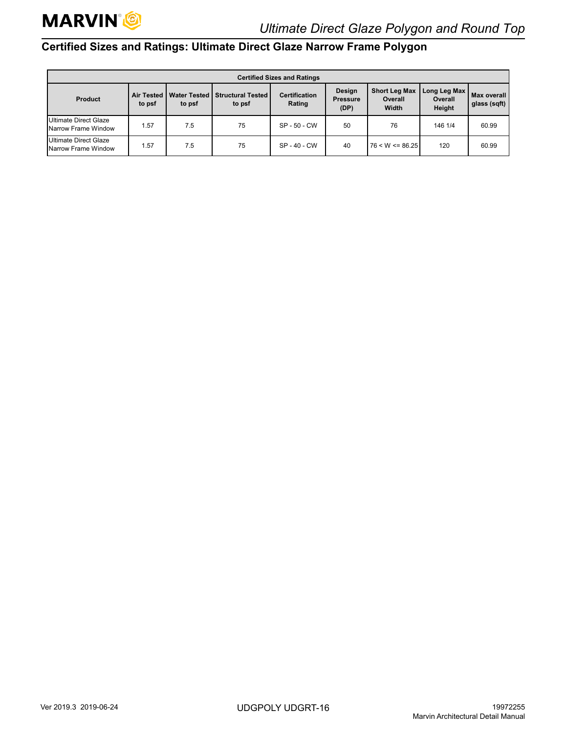

# <span id="page-17-0"></span>**Certified Sizes and Ratings: Ultimate Direct Glaze Narrow Frame Polygon**

| <b>Certified Sizes and Ratings</b>           |                             |                               |                                    |                         |                                          |                                          |                                   |                                    |  |  |
|----------------------------------------------|-----------------------------|-------------------------------|------------------------------------|-------------------------|------------------------------------------|------------------------------------------|-----------------------------------|------------------------------------|--|--|
| <b>Product</b>                               | <b>Air Tested</b><br>to psf | <b>Water Tested</b><br>to psf | <b>Structural Tested</b><br>to psf | Certification<br>Rating | <b>Design</b><br><b>Pressure</b><br>(DP) | <b>Short Leg Max</b><br>Overall<br>Width | Long Leg Max<br>Overall<br>Height | <b>Max overall</b><br>glass (sqft) |  |  |
| Ultimate Direct Glaze<br>Narrow Frame Window | 57ء                         | 7.5                           | 75                                 | $SP - 50 - CW$          | 50                                       | 76                                       | 146 1/4                           | 60.99                              |  |  |
| Ultimate Direct Glaze<br>Narrow Frame Window | 57،،                        | 7.5                           | 75                                 | SP-40-CW                | 40                                       | $76 < W \le 86.25$                       | 120                               | 60.99                              |  |  |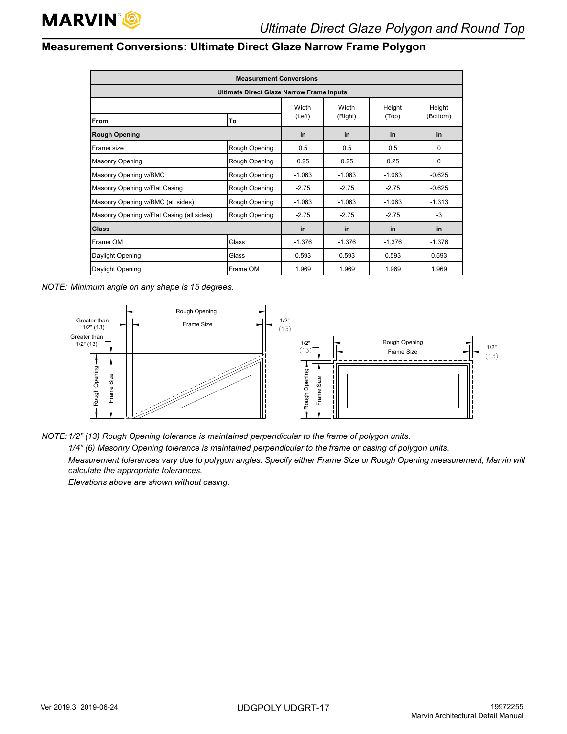### <span id="page-18-0"></span>**Measurement Conversions: Ultimate Direct Glaze Narrow Frame Polygon**

|                                           | <b>Measurement Conversions</b>                   |          |          |          |          |  |  |  |  |  |  |
|-------------------------------------------|--------------------------------------------------|----------|----------|----------|----------|--|--|--|--|--|--|
|                                           | <b>Ultimate Direct Glaze Narrow Frame Inputs</b> |          |          |          |          |  |  |  |  |  |  |
|                                           |                                                  | Width    | Width    | Height   | Height   |  |  |  |  |  |  |
| From                                      | To                                               | (Left)   | (Right)  | (Top)    | (Bottom) |  |  |  |  |  |  |
| <b>Rough Opening</b>                      |                                                  | in       | in       | in       | in       |  |  |  |  |  |  |
| Frame size                                | Rough Opening                                    | 0.5      | 0.5      | 0.5      | 0        |  |  |  |  |  |  |
| Masonry Opening                           | Rough Opening                                    | 0.25     | 0.25     | 0.25     | 0        |  |  |  |  |  |  |
| Masonry Opening w/BMC                     | Rough Opening                                    | $-1.063$ | $-1.063$ | $-1.063$ | $-0.625$ |  |  |  |  |  |  |
| Masonry Opening w/Flat Casing             | Rough Opening                                    | $-2.75$  | $-2.75$  | $-2.75$  | $-0.625$ |  |  |  |  |  |  |
| Masonry Opening w/BMC (all sides)         | Rough Opening                                    | $-1.063$ | $-1.063$ | $-1.063$ | $-1.313$ |  |  |  |  |  |  |
| Masonry Opening w/Flat Casing (all sides) | Rough Opening                                    | $-2.75$  | $-2.75$  | $-2.75$  | $-3$     |  |  |  |  |  |  |
| Glass                                     |                                                  | in       | in       | in       | in       |  |  |  |  |  |  |
| Frame OM                                  | Glass                                            | $-1.376$ | $-1.376$ | $-1.376$ | $-1.376$ |  |  |  |  |  |  |
| Daylight Opening                          | Glass                                            | 0.593    | 0.593    | 0.593    | 0.593    |  |  |  |  |  |  |
| Daylight Opening                          | Frame OM                                         | 1.969    | 1.969    | 1.969    | 1.969    |  |  |  |  |  |  |

*NOTE: Minimum angle on any shape is 15 degrees.* 



*NOTE: 1/2" (13) Rough Opening tolerance is maintained perpendicular to the frame of polygon units.*

*1/4" (6) Masonry Opening tolerance is maintained perpendicular to the frame or casing of polygon units.*

*Measurement tolerances vary due to polygon angles. Specify either Frame Size or Rough Opening measurement, Marvin will calculate the appropriate tolerances.*

*Elevations above are shown without casing.*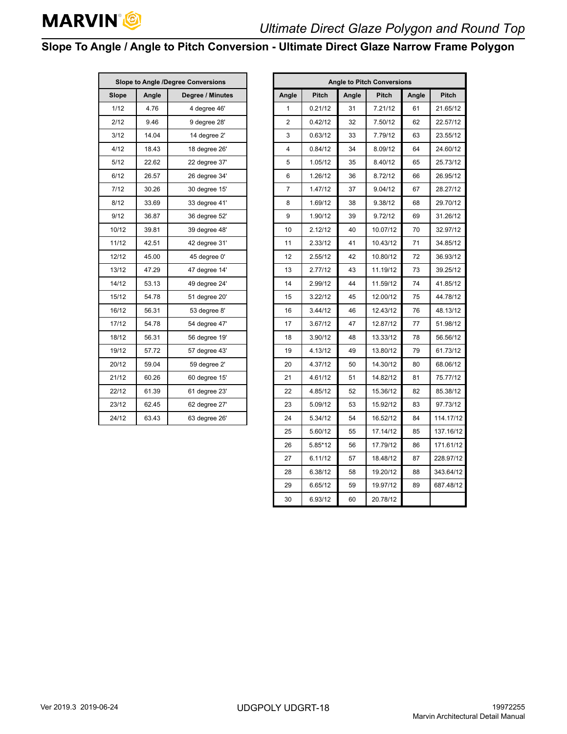

# *Ultimate Direct Glaze Polygon and Round Top*

# <span id="page-19-0"></span>**Slope To Angle / Angle to Pitch Conversion - Ultimate Direct Glaze Narrow Frame Polygon**

|              |       | <b>Slope to Angle /Degree Conversions</b> |
|--------------|-------|-------------------------------------------|
| <b>Slope</b> | Angle | Degree / Minutes                          |
| 1/12         | 4.76  | 4 degree 46'                              |
| 2/12         | 9.46  | 9 degree 28'                              |
| 3/12         | 14.04 | 14 degree 2'                              |
| 4/12         | 18.43 | 18 degree 26'                             |
| 5/12         | 22.62 | 22 degree 37'                             |
| 6/12         | 26.57 | 26 degree 34'                             |
| 7/12         | 30.26 | 30 degree 15'                             |
| 8/12         | 33.69 | 33 degree 41'                             |
| 9/12         | 36.87 | 36 degree 52'                             |
| 10/12        | 39.81 | 39 degree 48'                             |
| 11/12        | 42.51 | 42 degree 31'                             |
| 12/12        | 45.00 | 45 degree 0'                              |
| 13/12        | 47.29 | 47 degree 14'                             |
| 14/12        | 53.13 | 49 degree 24'                             |
| 15/12        | 54.78 | 51 degree 20'                             |
| 16/12        | 56.31 | 53 degree 8'                              |
| 17/12        | 54.78 | 54 degree 47'                             |
| 18/12        | 56.31 | 56 degree 19'                             |
| 19/12        | 57.72 | 57 degree 43'                             |
| 20/12        | 59.04 | 59 degree 2'                              |
| 21/12        | 60.26 | 60 degree 15'                             |
| 22/12        | 61.39 | 61 degree 23'                             |
| 23/12        | 62.45 | 62 degree 27'                             |
| 24/12        | 63.43 | 63 degree 26'                             |

|       |       | <b>Slope to Angle /Degree Conversions</b> |                | <b>Angle to Pitch Conversions</b><br>Pitch<br>Angle<br><b>Pitch</b><br>Angle<br>0.21/12<br>31<br>7.21/12<br>61<br>0.42/12<br>7.50/12<br>32<br>62<br>0.63/12<br>33<br>7.79/12<br>63<br>0.84/12<br>34<br>8.09/12<br>64<br>1.05/12<br>8.40/12<br>35<br>65<br>1.26/12<br>36<br>8.72/12<br>66<br>9.04/12<br>1.47/12<br>37<br>67<br>1.69/12<br>9.38/12<br>38<br>68<br>1.90/12<br>39<br>9.72/12<br>69<br>2.12/12<br>40<br>10.07/12<br>70 |    |          |    |              |
|-------|-------|-------------------------------------------|----------------|-----------------------------------------------------------------------------------------------------------------------------------------------------------------------------------------------------------------------------------------------------------------------------------------------------------------------------------------------------------------------------------------------------------------------------------|----|----------|----|--------------|
| Slope | Angle | Degree / Minutes                          | Angle          |                                                                                                                                                                                                                                                                                                                                                                                                                                   |    |          |    | <b>Pitch</b> |
| 1/12  | 4.76  | 4 degree 46'                              | 1              |                                                                                                                                                                                                                                                                                                                                                                                                                                   |    |          |    | 21.65/12     |
| 2/12  | 9.46  | 9 degree 28'                              | $\overline{2}$ |                                                                                                                                                                                                                                                                                                                                                                                                                                   |    |          |    | 22.57/12     |
| 3/12  | 14.04 | 14 degree 2'                              | 3              |                                                                                                                                                                                                                                                                                                                                                                                                                                   |    |          |    | 23.55/12     |
| 4/12  | 18.43 | 18 degree 26'                             | 4              |                                                                                                                                                                                                                                                                                                                                                                                                                                   |    |          |    | 24.60/12     |
| 5/12  | 22.62 | 22 degree 37'                             | 5              |                                                                                                                                                                                                                                                                                                                                                                                                                                   |    |          |    | 25.73/12     |
| 6/12  | 26.57 | 26 degree 34'                             | 6              |                                                                                                                                                                                                                                                                                                                                                                                                                                   |    |          |    | 26.95/12     |
| 7/12  | 30.26 | 30 degree 15'                             | 7              |                                                                                                                                                                                                                                                                                                                                                                                                                                   |    |          |    | 28.27/12     |
| 8/12  | 33.69 | 33 degree 41'                             | 8              |                                                                                                                                                                                                                                                                                                                                                                                                                                   |    |          |    | 29.70/12     |
| 9/12  | 36.87 | 36 degree 52'                             | 9              |                                                                                                                                                                                                                                                                                                                                                                                                                                   |    |          |    | 31.26/12     |
| 10/12 | 39.81 | 39 degree 48'                             | 10             |                                                                                                                                                                                                                                                                                                                                                                                                                                   |    |          |    | 32.97/12     |
| 11/12 | 42.51 | 42 degree 31'                             | 11             | 2.33/12                                                                                                                                                                                                                                                                                                                                                                                                                           | 41 | 10.43/12 | 71 | 34.85/12     |
| 12/12 | 45.00 | 45 degree 0'                              | 12             | 2.55/12                                                                                                                                                                                                                                                                                                                                                                                                                           | 42 | 10.80/12 | 72 | 36.93/12     |
| 13/12 | 47.29 | 47 degree 14'                             | 13             | 2.77/12                                                                                                                                                                                                                                                                                                                                                                                                                           | 43 | 11.19/12 | 73 | 39.25/12     |
| 14/12 | 53.13 | 49 degree 24'                             | 14             | 2.99/12                                                                                                                                                                                                                                                                                                                                                                                                                           | 44 | 11.59/12 | 74 | 41.85/12     |
| 15/12 | 54.78 | 51 degree 20'                             | 15             | 3.22/12                                                                                                                                                                                                                                                                                                                                                                                                                           | 45 | 12.00/12 | 75 | 44.78/12     |
| 16/12 | 56.31 | 53 degree 8'                              | 16             | 3.44/12                                                                                                                                                                                                                                                                                                                                                                                                                           | 46 | 12.43/12 | 76 | 48.13/12     |
| 17/12 | 54.78 | 54 degree 47'                             | 17             | 3.67/12                                                                                                                                                                                                                                                                                                                                                                                                                           | 47 | 12.87/12 | 77 | 51.98/12     |
| 18/12 | 56.31 | 56 degree 19'                             | 18             | 3.90/12                                                                                                                                                                                                                                                                                                                                                                                                                           | 48 | 13.33/12 | 78 | 56.56/12     |
| 19/12 | 57.72 | 57 degree 43'                             | 19             | 4.13/12                                                                                                                                                                                                                                                                                                                                                                                                                           | 49 | 13.80/12 | 79 | 61.73/12     |
| 20/12 | 59.04 | 59 degree 2'                              | 20             | 4.37/12                                                                                                                                                                                                                                                                                                                                                                                                                           | 50 | 14.30/12 | 80 | 68.06/12     |
| 21/12 | 60.26 | 60 degree 15'                             | 21             | 4.61/12                                                                                                                                                                                                                                                                                                                                                                                                                           | 51 | 14.82/12 | 81 | 75.77/12     |
| 22/12 | 61.39 | 61 degree 23'                             | 22             | 4.85/12                                                                                                                                                                                                                                                                                                                                                                                                                           | 52 | 15.36/12 | 82 | 85.38/12     |
| 23/12 | 62.45 | 62 degree 27'                             | 23             | 5.09/12                                                                                                                                                                                                                                                                                                                                                                                                                           | 53 | 15.92/12 | 83 | 97.73/12     |
| 24/12 | 63.43 | 63 degree 26'                             | 24             | 5.34/12                                                                                                                                                                                                                                                                                                                                                                                                                           | 54 | 16.52/12 | 84 | 114.17/12    |
|       |       |                                           | 25             | 5.60/12                                                                                                                                                                                                                                                                                                                                                                                                                           | 55 | 17.14/12 | 85 | 137.16/12    |
|       |       |                                           | 26             | 5.85*12                                                                                                                                                                                                                                                                                                                                                                                                                           | 56 | 17.79/12 | 86 | 171.61/12    |
|       |       |                                           | 27             | 6.11/12                                                                                                                                                                                                                                                                                                                                                                                                                           | 57 | 18.48/12 | 87 | 228.97/12    |
|       |       |                                           | 28             | 6.38/12                                                                                                                                                                                                                                                                                                                                                                                                                           | 58 | 19.20/12 | 88 | 343.64/12    |
|       |       |                                           | 29             | 6.65/12                                                                                                                                                                                                                                                                                                                                                                                                                           | 59 | 19.97/12 | 89 | 687.48/12    |
|       |       |                                           | 30             | 6.93/12                                                                                                                                                                                                                                                                                                                                                                                                                           | 60 | 20.78/12 |    |              |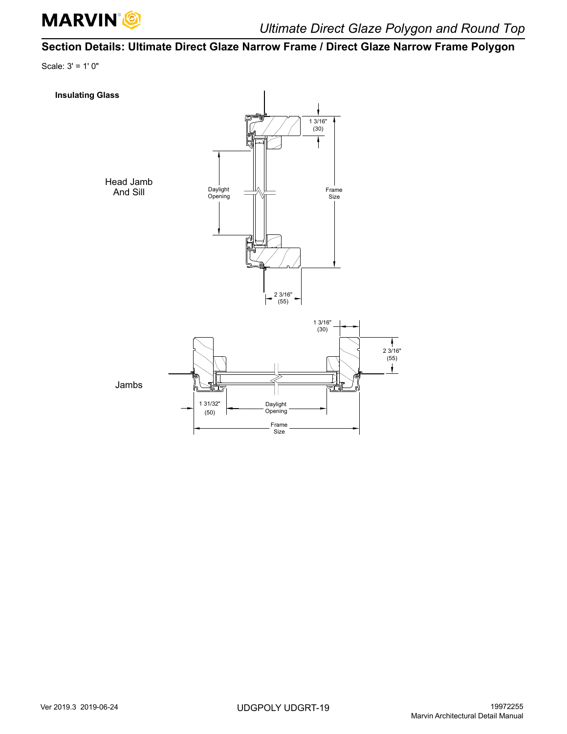

## <span id="page-20-0"></span>**Section Details: Ultimate Direct Glaze Narrow Frame / Direct Glaze Narrow Frame Polygon**

Scale: 3' = 1' 0"

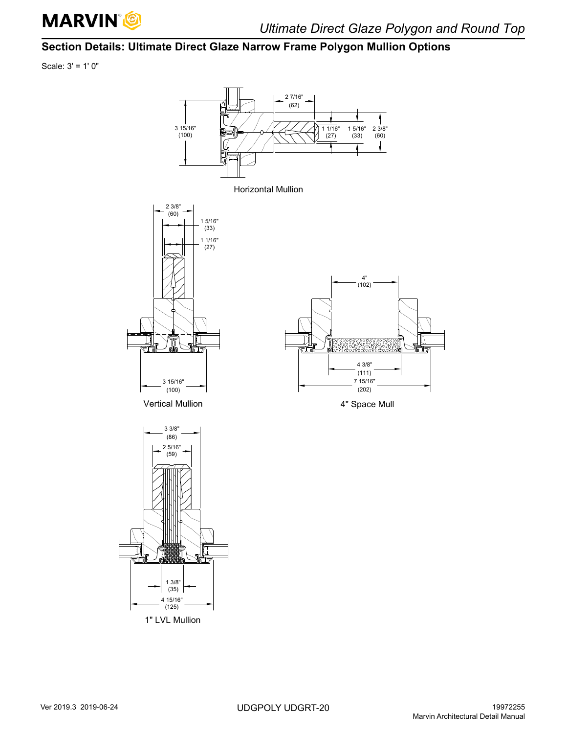

# <span id="page-21-0"></span>**Section Details: Ultimate Direct Glaze Narrow Frame Polygon Mullion Options**

Scale: 3' = 1' 0"

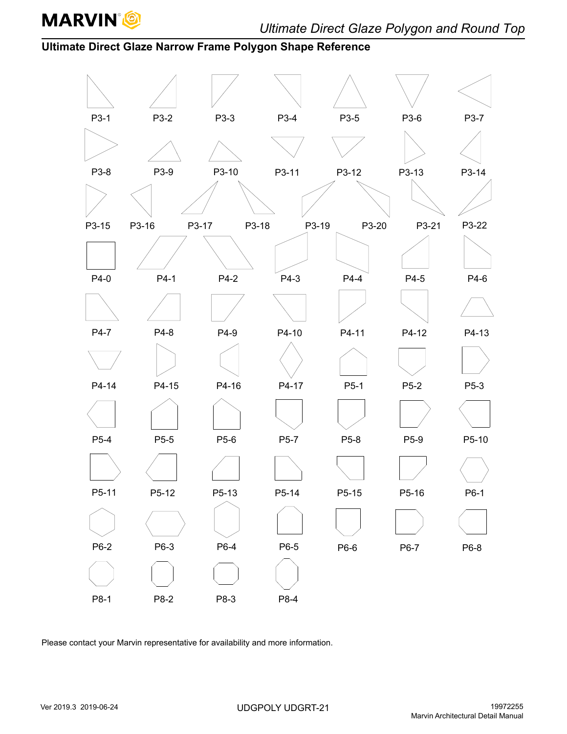

# <span id="page-22-0"></span>**Ultimate Direct Glaze Narrow Frame Polygon Shape Reference**



Please contact your Marvin representative for availability and more information.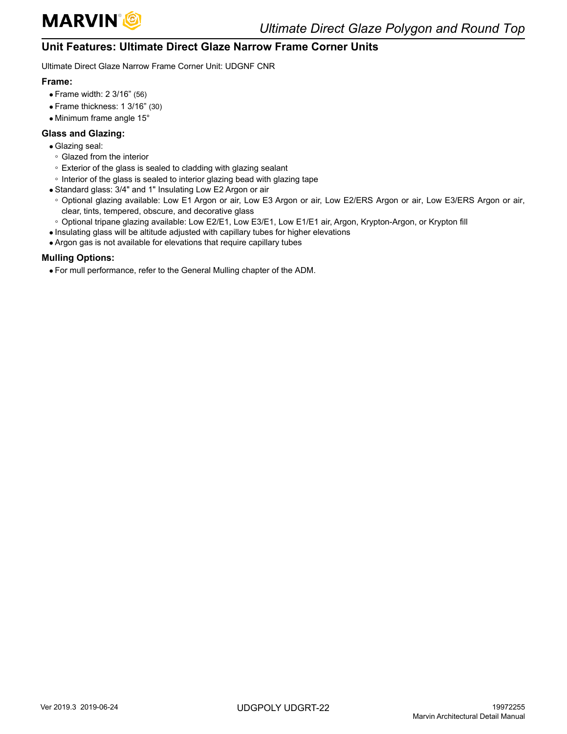

### <span id="page-23-0"></span>**Unit Features: Ultimate Direct Glaze Narrow Frame Corner Units**

Ultimate Direct Glaze Narrow Frame Corner Unit: UDGNF CNR

### **Frame:**

- Frame width: 2 3/16" (56)
- Frame thickness: 1 3/16" (30)
- Minimum frame angle 15°

### **Glass and Glazing:**

- Glazing seal:
- Glazed from the interior
- Exterior of the glass is sealed to cladding with glazing sealant
- Interior of the glass is sealed to interior glazing bead with glazing tape
- Standard glass: 3/4" and 1" Insulating Low E2 Argon or air
- Optional glazing available: Low E1 Argon or air, Low E3 Argon or air, Low E2/ERS Argon or air, Low E3/ERS Argon or air, clear, tints, tempered, obscure, and decorative glass
- Optional tripane glazing available: Low E2/E1, Low E3/E1, Low E1/E1 air, Argon, Krypton-Argon, or Krypton fill
- Insulating glass will be altitude adjusted with capillary tubes for higher elevations
- Argon gas is not available for elevations that require capillary tubes

#### **Mulling Options:**

For mull performance, refer to the General Mulling chapter of the ADM.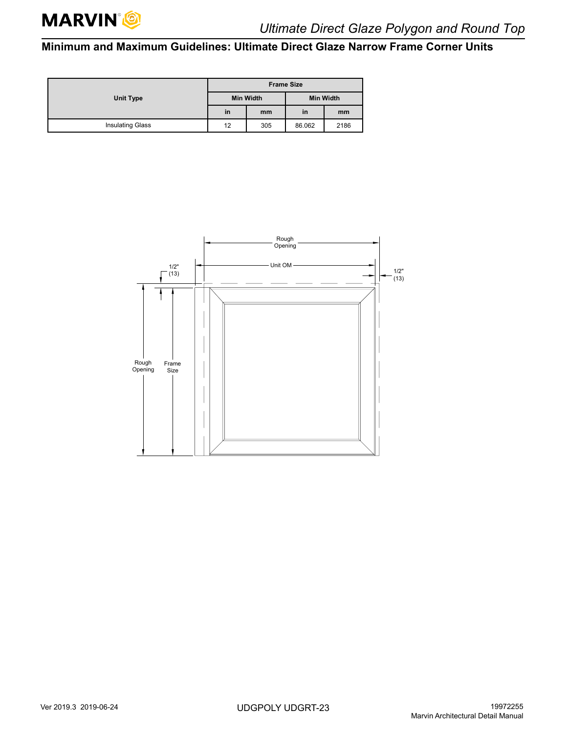

# <span id="page-24-0"></span>**Minimum and Maximum Guidelines: Ultimate Direct Glaze Narrow Frame Corner Units**

|                         | <b>Frame Size</b> |                  |                  |      |  |  |  |
|-------------------------|-------------------|------------------|------------------|------|--|--|--|
| <b>Unit Type</b>        |                   | <b>Min Width</b> | <b>Min Width</b> |      |  |  |  |
|                         | in                | mm               | in               | mm   |  |  |  |
| <b>Insulating Glass</b> | 12                | 305              | 86.062           | 2186 |  |  |  |

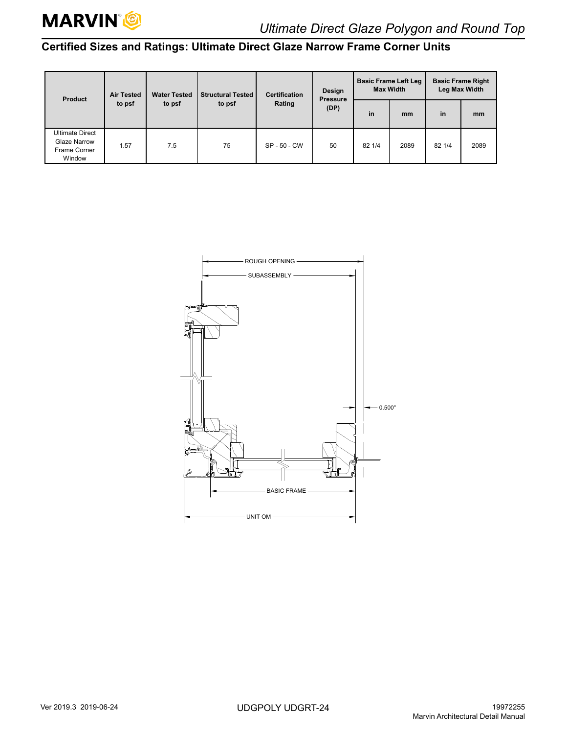## <span id="page-25-0"></span>**Certified Sizes and Ratings: Ultimate Direct Glaze Narrow Frame Corner Units**

| <b>Product</b>                                            | <b>Air Tested</b> | <b>Water Tested</b> | <b>Structural Tested</b> | <b>Certification</b> | Design<br><b>Pressure</b> | <b>Basic Frame Left Leg</b><br><b>Max Width</b> |      | <b>Basic Frame Right</b><br>Leg Max Width |      |
|-----------------------------------------------------------|-------------------|---------------------|--------------------------|----------------------|---------------------------|-------------------------------------------------|------|-------------------------------------------|------|
|                                                           | to psf            | to psf              | to psf                   | Rating               | (DP)                      | in                                              | mm   | in                                        | mm   |
| Ultimate Direct<br>Glaze Narrow<br>Frame Corner<br>Window | 1.57              | 7.5                 | 75                       | $SP - 50 - CW$       | 50                        | 82 1/4                                          | 2089 | 82 1/4                                    | 2089 |

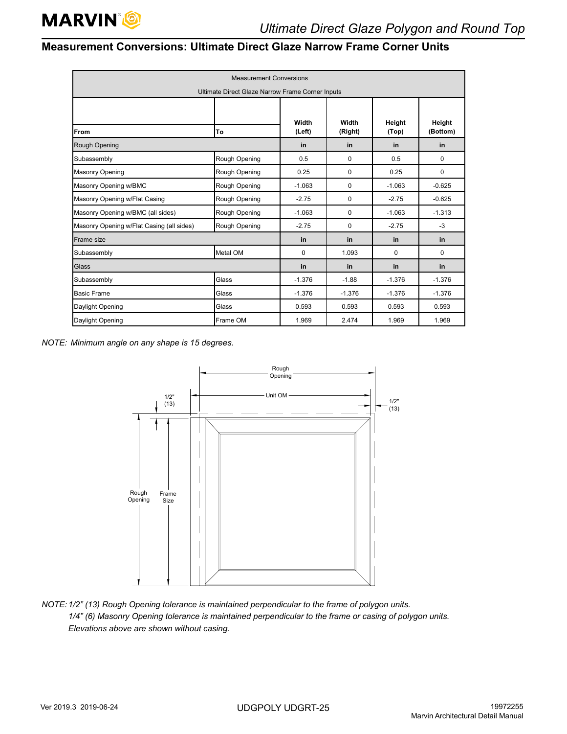## <span id="page-26-0"></span>**Measurement Conversions: Ultimate Direct Glaze Narrow Frame Corner Units**

|                                           | <b>Measurement Conversions</b>                   |                 |                  |                 |                    |  |  |  |  |  |
|-------------------------------------------|--------------------------------------------------|-----------------|------------------|-----------------|--------------------|--|--|--|--|--|
|                                           | Ultimate Direct Glaze Narrow Frame Corner Inputs |                 |                  |                 |                    |  |  |  |  |  |
| From                                      | To                                               | Width<br>(Left) | Width<br>(Right) | Height<br>(Top) | Height<br>(Bottom) |  |  |  |  |  |
| <b>Rough Opening</b>                      |                                                  | in              | in               | in              | in                 |  |  |  |  |  |
| Subassembly                               | Rough Opening                                    | 0.5             | $\mathbf 0$      | 0.5             | 0                  |  |  |  |  |  |
| <b>Masonry Opening</b>                    | Rough Opening                                    | 0.25            | $\mathbf 0$      | 0.25            | $\mathbf 0$        |  |  |  |  |  |
| Masonry Opening w/BMC                     | Rough Opening                                    | $-1.063$        | $\mathbf 0$      | $-1.063$        | $-0.625$           |  |  |  |  |  |
| Masonry Opening w/Flat Casing             | Rough Opening                                    | $-2.75$         | $\mathbf 0$      | $-2.75$         | $-0.625$           |  |  |  |  |  |
| Masonry Opening w/BMC (all sides)         | Rough Opening                                    | $-1.063$        | $\Omega$         | $-1.063$        | $-1.313$           |  |  |  |  |  |
| Masonry Opening w/Flat Casing (all sides) | Rough Opening                                    | $-2.75$         | 0                | $-2.75$         | $-3$               |  |  |  |  |  |
| <b>Frame size</b>                         |                                                  | in              | in               | in              | in                 |  |  |  |  |  |
| Subassembly                               | Metal OM                                         | $\mathbf 0$     | 1.093            | 0               | $\mathbf 0$        |  |  |  |  |  |
| <b>Glass</b>                              |                                                  | in              | in               | in              | in                 |  |  |  |  |  |
| Subassembly                               | Glass                                            | $-1.376$        | $-1.88$          | $-1.376$        | $-1.376$           |  |  |  |  |  |
| <b>Basic Frame</b>                        | Glass                                            | $-1.376$        | $-1.376$         | $-1.376$        | $-1.376$           |  |  |  |  |  |
| Daylight Opening                          | Glass                                            | 0.593           | 0.593            | 0.593           | 0.593              |  |  |  |  |  |
| Daylight Opening                          | Frame OM                                         | 1.969           | 2.474            | 1.969           | 1.969              |  |  |  |  |  |

*NOTE: Minimum angle on any shape is 15 degrees.* 



*NOTE: 1/2" (13) Rough Opening tolerance is maintained perpendicular to the frame of polygon units. 1/4" (6) Masonry Opening tolerance is maintained perpendicular to the frame or casing of polygon units. Elevations above are shown without casing.*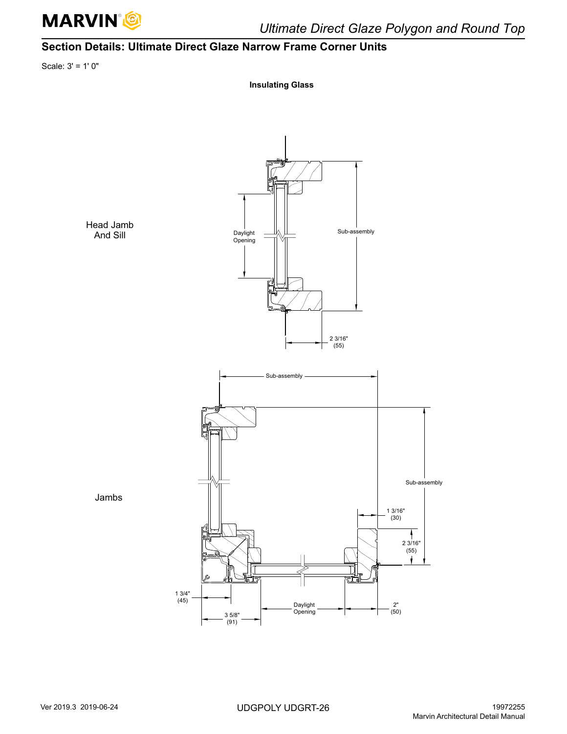

## <span id="page-27-0"></span>**Section Details: Ultimate Direct Glaze Narrow Frame Corner Units**

Scale: 3' = 1' 0"



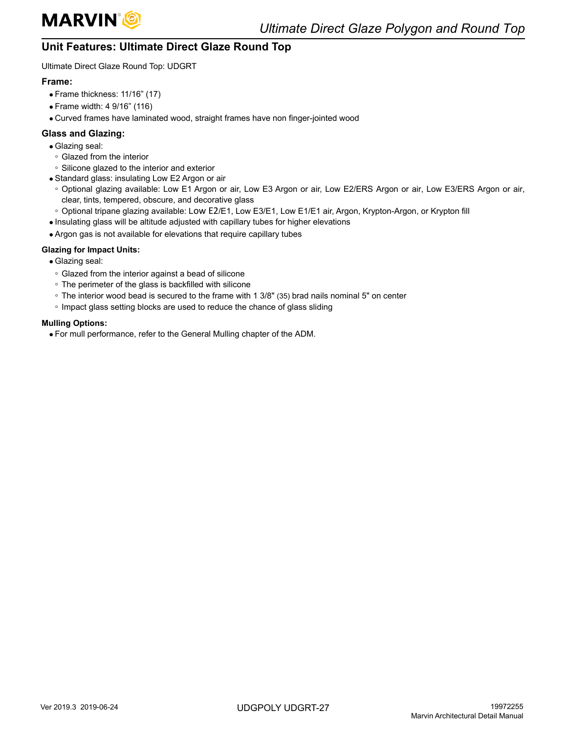

### <span id="page-28-0"></span>**Unit Features: Ultimate Direct Glaze Round Top**

Ultimate Direct Glaze Round Top: UDGRT

### **Frame:**

- Frame thickness: 11/16" (17)
- Frame width: 4 9/16" (116)
- Curved frames have laminated wood, straight frames have non finger-jointed wood

### **Glass and Glazing:**

- Glazing seal:
- Glazed from the interior
- Silicone glazed to the interior and exterior
- Standard glass: insulating Low E2 Argon or air
- Optional glazing available: Low E1 Argon or air, Low E3 Argon or air, Low E2/ERS Argon or air, Low E3/ERS Argon or air, clear, tints, tempered, obscure, and decorative glass
- Optional tripane glazing available: Low E2/E1, Low E3/E1, Low E1/E1 air, Argon, Krypton-Argon, or Krypton fill
- . Insulating glass will be altitude adjusted with capillary tubes for higher elevations
- Argon gas is not available for elevations that require capillary tubes

### **Glazing for Impact Units:**

- Glazing seal:
- Glazed from the interior against a bead of silicone
- The perimeter of the glass is backfilled with silicone
- The interior wood bead is secured to the frame with 1 3/8" (35) brad nails nominal 5" on center
- Impact glass setting blocks are used to reduce the chance of glass sliding

#### **Mulling Options:**

For mull performance, refer to the General Mulling chapter of the ADM.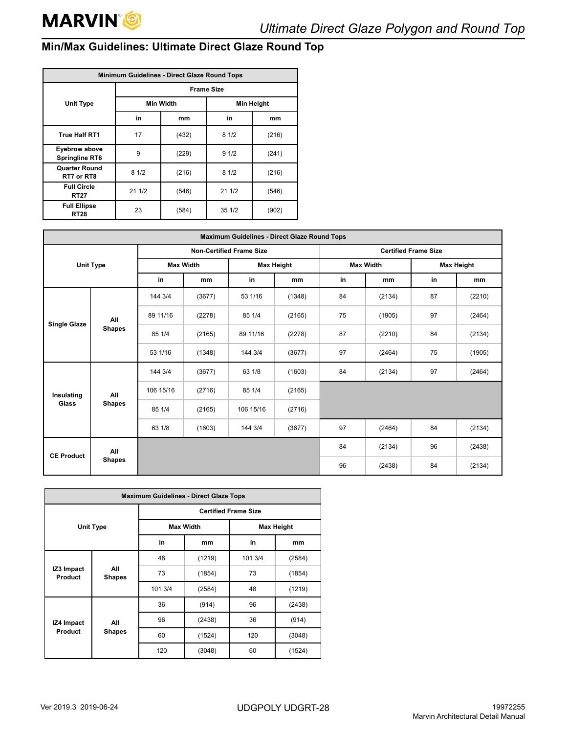## <span id="page-29-0"></span>**Min/Max Guidelines: Ultimate Direct Glaze Round Top**

| Minimum Guidelines - Direct Glaze Round Tops  |        |                  |                   |       |  |  |  |  |  |  |
|-----------------------------------------------|--------|------------------|-------------------|-------|--|--|--|--|--|--|
|                                               |        |                  | <b>Frame Size</b> |       |  |  |  |  |  |  |
| <b>Unit Type</b>                              |        | <b>Min Width</b> | <b>Min Height</b> |       |  |  |  |  |  |  |
|                                               | in     | mm               | in                | mm    |  |  |  |  |  |  |
| True Half RT1                                 | 17     | (432)            | 81/2              | (216) |  |  |  |  |  |  |
| <b>Eyebrow above</b><br><b>Springline RT6</b> | 9      | (229)            | 91/2              | (241) |  |  |  |  |  |  |
| <b>Quarter Round</b><br>RT7 or RT8            | 81/2   | (216)            | 81/2              | (216) |  |  |  |  |  |  |
| <b>Full Circle</b><br><b>RT27</b>             | 21 1/2 | (546)            | 211/2             | (546) |  |  |  |  |  |  |
| <b>Full Ellipse</b><br><b>RT28</b>            | 23     | (584)            | 35 1/2            | (902) |  |  |  |  |  |  |

|                            |                  |                  |        | <b>Maximum Guidelines - Direct Glaze Round Tops</b> |                   |    |                  |                             |                   |
|----------------------------|------------------|------------------|--------|-----------------------------------------------------|-------------------|----|------------------|-----------------------------|-------------------|
|                            |                  |                  |        | <b>Non-Certified Frame Size</b>                     |                   |    |                  | <b>Certified Frame Size</b> |                   |
|                            | <b>Unit Type</b> | <b>Max Width</b> |        |                                                     | <b>Max Height</b> |    | <b>Max Width</b> |                             | <b>Max Height</b> |
|                            |                  | in               | mm     | in<br>mm                                            |                   | in | mm               | in                          | mm                |
|                            |                  | 144 3/4          | (3677) | 53 1/16                                             | (1348)            | 84 | (2134)           | 87                          | (2210)            |
| All<br><b>Single Glaze</b> |                  | 89 11/16         | (2278) | 85 1/4                                              | (2165)            | 75 | (1905)           | 97                          | (2464)            |
|                            | <b>Shapes</b>    | 85 1/4           | (2165) | 89 11/16                                            | (2278)            | 87 | (2210)           | 84                          | (2134)            |
|                            |                  | 53 1/16          | (1348) | 144 3/4                                             | (3677)            | 97 | (2464)           | 75                          | (1905)            |
|                            |                  | 144 3/4          | (3677) | 63 1/8                                              | (1603)            | 84 | (2134)           | 97                          | (2464)            |
| Insulating                 | All              | 106 15/16        | (2716) | 85 1/4                                              | (2165)            |    |                  |                             |                   |
| <b>Glass</b>               | <b>Shapes</b>    | 85 1/4           | (2165) | 106 15/16                                           | (2716)            |    |                  |                             |                   |
|                            |                  | 63 1/8           | (1603) | 144 3/4                                             | (3677)            | 97 | (2464)           | 84                          | (2134)            |
| <b>CE Product</b>          | All              |                  |        |                                                     |                   | 84 | (2134)           | 96                          | (2438)            |
|                            | <b>Shapes</b>    |                  |        |                                                     |                   | 96 | (2438)           | 84                          | (2134)            |

| <b>Maximum Guidelines - Direct Glaze Tops</b> |                                              |         |                  |                             |                   |  |  |  |  |  |  |  |  |
|-----------------------------------------------|----------------------------------------------|---------|------------------|-----------------------------|-------------------|--|--|--|--|--|--|--|--|
|                                               |                                              |         |                  | <b>Certified Frame Size</b> |                   |  |  |  |  |  |  |  |  |
|                                               | <b>Unit Type</b>                             |         | <b>Max Width</b> |                             | <b>Max Height</b> |  |  |  |  |  |  |  |  |
|                                               |                                              | in      | mm               | in                          | mm                |  |  |  |  |  |  |  |  |
|                                               |                                              | 48      | (1219)           | 101 3/4                     | (2584)            |  |  |  |  |  |  |  |  |
| IZ3 Impact<br>Product                         | All<br><b>Shapes</b><br>All<br><b>Shapes</b> | 73      | (1854)           | 73                          | (1854)            |  |  |  |  |  |  |  |  |
|                                               |                                              | 101 3/4 | (2584)           | 48                          | (1219)            |  |  |  |  |  |  |  |  |
|                                               |                                              | 36      | (914)            | 96                          | (2438)            |  |  |  |  |  |  |  |  |
| IZ4 Impact<br>Product                         |                                              | 96      | (2438)           | 36                          | (914)             |  |  |  |  |  |  |  |  |
|                                               |                                              | 60      | (1524)           | 120                         | (3048)            |  |  |  |  |  |  |  |  |
|                                               |                                              | 120     | (3048)           | 60                          | (1524)            |  |  |  |  |  |  |  |  |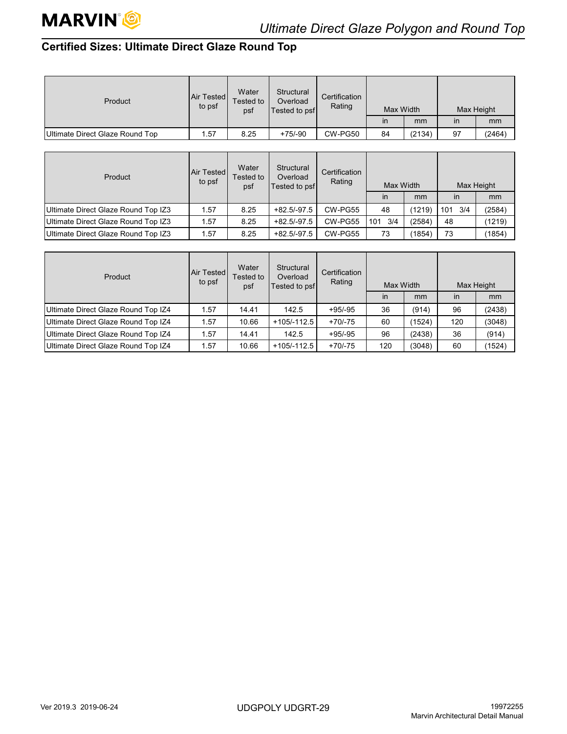

# <span id="page-30-0"></span>**Certified Sizes: Ultimate Direct Glaze Round Top**

| Product                         | Air Tested<br>to psf | Water<br><b>Tested to</b><br>psf | Structural<br>Overload<br>Tested to psf | Certification<br>Rating | Max Width     |        | Max Height |        |
|---------------------------------|----------------------|----------------------------------|-----------------------------------------|-------------------------|---------------|--------|------------|--------|
|                                 |                      |                                  |                                         |                         | $\mathsf{in}$ | mm     | in         | mm     |
| Ultimate Direct Glaze Round Top | 1.57                 | 8.25                             | $+75/ -90$                              | CW-PG50                 | 84            | (2134) | 97         | (2464) |

| Product                             | Air Tested<br>to psf | Water<br>Tested to<br>psf | Structural<br>Overload<br>Tested to psf | Certification<br>Rating | Max Width  |        | Max Height |        |  |
|-------------------------------------|----------------------|---------------------------|-----------------------------------------|-------------------------|------------|--------|------------|--------|--|
|                                     |                      |                           |                                         |                         | in         | mm     | in         | mm     |  |
| Ultimate Direct Glaze Round Top IZ3 | 1.57                 | 8.25                      | $+82.5/-97.5$                           | CW-PG55                 | 48         | (1219) | 3/4<br>101 | (2584) |  |
| Ultimate Direct Glaze Round Top IZ3 | 57ء                  | 8.25                      | $+82.5/-97.5$                           | CW-PG55                 | 3/4<br>101 | (2584) | 48         | (1219) |  |
| Ultimate Direct Glaze Round Top IZ3 | .57                  | 8.25                      | $+82.5/-97.5$                           | CW-PG55                 | 73         | 1854)  | 73         | (1854) |  |

| Product                             | <b>Air Tested</b><br>to psf | Water<br><b>Tested to</b><br>psf | Structural<br>Overload<br>Tested to psf | Certification<br>Rating | Max Width |        |     | Max Height |
|-------------------------------------|-----------------------------|----------------------------------|-----------------------------------------|-------------------------|-----------|--------|-----|------------|
|                                     |                             |                                  |                                         |                         | in        | mm     | in  | mm         |
| Ultimate Direct Glaze Round Top IZ4 | 1.57                        | 14.41                            | 142.5                                   | $+95/ -95$              | 36        | (914)  | 96  | (2438)     |
| Ultimate Direct Glaze Round Top IZ4 | 1.57                        | 10.66                            | $+105/-112.5$                           | $+70/-75$               | 60        | 1524)  | 120 | (3048)     |
| Ultimate Direct Glaze Round Top IZ4 | i.57                        | 14.41                            | 142.5                                   | $+95/ -95$              | 96        | (2438) | 36  | (914)      |
| Ultimate Direct Glaze Round Top IZ4 | 1.57                        | 10.66                            | $+105/112.5$                            | $+70/-75$               | 120       | (3048) | 60  | (1524)     |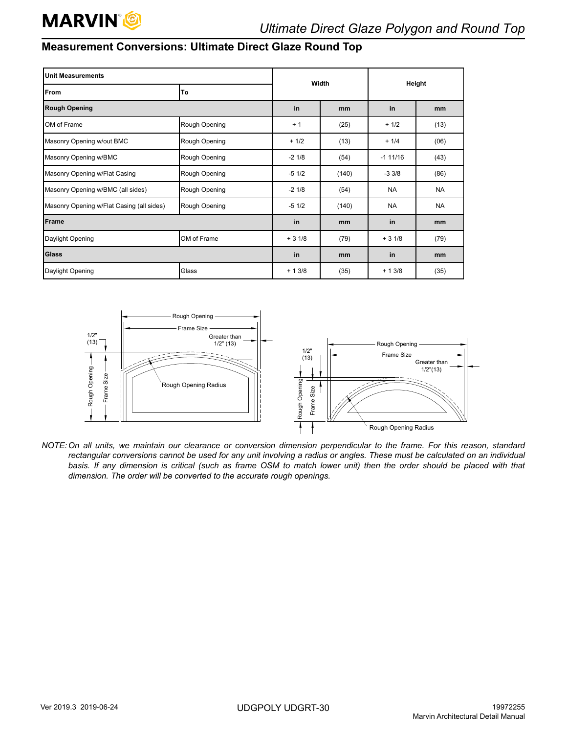### <span id="page-31-0"></span>**Measurement Conversions: Ultimate Direct Glaze Round Top**

| <b>Unit Measurements</b>                  |               | Width    |       | Height    |           |  |
|-------------------------------------------|---------------|----------|-------|-----------|-----------|--|
| From                                      | To            |          |       |           |           |  |
| <b>Rough Opening</b>                      |               | in       | mm    | in        | mm        |  |
| OM of Frame                               | Rough Opening | $+1$     | (25)  | $+1/2$    | (13)      |  |
| Masonry Opening w/out BMC                 | Rough Opening | $+1/2$   | (13)  | $+ 1/4$   | (06)      |  |
| Masonry Opening w/BMC                     | Rough Opening | $-21/8$  | (54)  | $-111/16$ | (43)      |  |
| Masonry Opening w/Flat Casing             | Rough Opening | $-51/2$  | (140) | $-33/8$   | (86)      |  |
| Masonry Opening w/BMC (all sides)         | Rough Opening | $-21/8$  | (54)  | <b>NA</b> | <b>NA</b> |  |
| Masonry Opening w/Flat Casing (all sides) | Rough Opening | $-51/2$  | (140) | NA        | <b>NA</b> |  |
| Frame                                     |               | in       | mm    | in        | mm        |  |
| Daylight Opening                          | OM of Frame   | $+31/8$  | (79)  | $+31/8$   | (79)      |  |
| <b>Glass</b>                              |               | in       | mm    | in        | mm        |  |
| Daylight Opening                          | Glass         | $+ 13/8$ | (35)  | $+ 13/8$  | (35)      |  |



*NOTE: On all units, we maintain our clearance or conversion dimension perpendicular to the frame. For this reason, standard rectangular conversions cannot be used for any unit involving a radius or angles. These must be calculated on an individual basis. If any dimension is critical (such as frame OSM to match lower unit) then the order should be placed with that dimension. The order will be converted to the accurate rough openings.*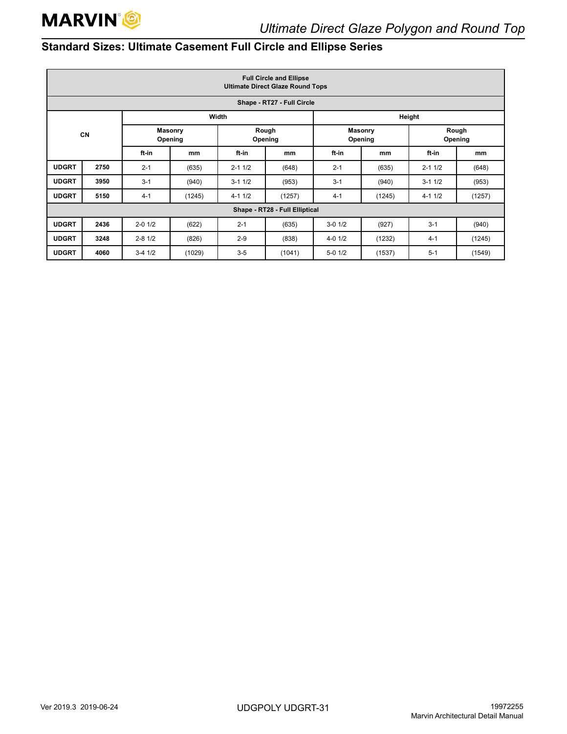## <span id="page-32-0"></span>**Standard Sizes: Ultimate Casement Full Circle and Ellipse Series**

|              |                            |                                                                                          |                           |            | <b>Full Circle and Ellipse</b><br><b>Ultimate Direct Glaze Round Tops</b> |             |                           |            |                  |  |  |  |  |  |  |
|--------------|----------------------------|------------------------------------------------------------------------------------------|---------------------------|------------|---------------------------------------------------------------------------|-------------|---------------------------|------------|------------------|--|--|--|--|--|--|
|              | Shape - RT27 - Full Circle |                                                                                          |                           |            |                                                                           |             |                           |            |                  |  |  |  |  |  |  |
|              | Width<br>Height            |                                                                                          |                           |            |                                                                           |             |                           |            |                  |  |  |  |  |  |  |
|              | CN                         |                                                                                          | <b>Masonry</b><br>Opening |            | Rough<br>Opening                                                          |             | <b>Masonry</b><br>Opening |            | Rough<br>Opening |  |  |  |  |  |  |
|              |                            | ft-in                                                                                    | mm                        | mm         | ft-in                                                                     | mm          |                           |            |                  |  |  |  |  |  |  |
| <b>UDGRT</b> | 2750                       | $2 - 1$                                                                                  | (635)                     | $2 - 11/2$ | (648)                                                                     | $2 - 1$     | (635)                     | $2 - 11/2$ | (648)            |  |  |  |  |  |  |
| <b>UDGRT</b> | 3950                       | $3 - 1$                                                                                  | (940)                     | $3-11/2$   | (953)                                                                     | $3 - 1$     | (940)                     | $3 - 11/2$ | (953)            |  |  |  |  |  |  |
| <b>UDGRT</b> | 5150                       | $4 - 1$                                                                                  | (1245)                    | $4 - 11/2$ | (1257)                                                                    | $4 - 1$     | (1245)                    | $4 - 11/2$ | (1257)           |  |  |  |  |  |  |
|              |                            |                                                                                          |                           |            | Shape - RT28 - Full Elliptical                                            |             |                           |            |                  |  |  |  |  |  |  |
| <b>UDGRT</b> | 2436                       | $2 - 0$ $1/2$                                                                            | (622)                     | $2 - 1$    | (635)                                                                     | $3-0$ $1/2$ | (927)                     | $3 - 1$    | (940)            |  |  |  |  |  |  |
| <b>UDGRT</b> | 3248                       | $2 - 9$<br>$2 - 8$ $1/2$<br>(826)<br>(838)<br>$4-0$ $1/2$<br>(1232)<br>$4 - 1$<br>(1245) |                           |            |                                                                           |             |                           |            |                  |  |  |  |  |  |  |
| <b>UDGRT</b> | 4060                       | $3-41/2$                                                                                 | (1029)                    | $3-5$      | (1041)                                                                    | $5-0$ $1/2$ | (1537)                    | $5 - 1$    | (1549)           |  |  |  |  |  |  |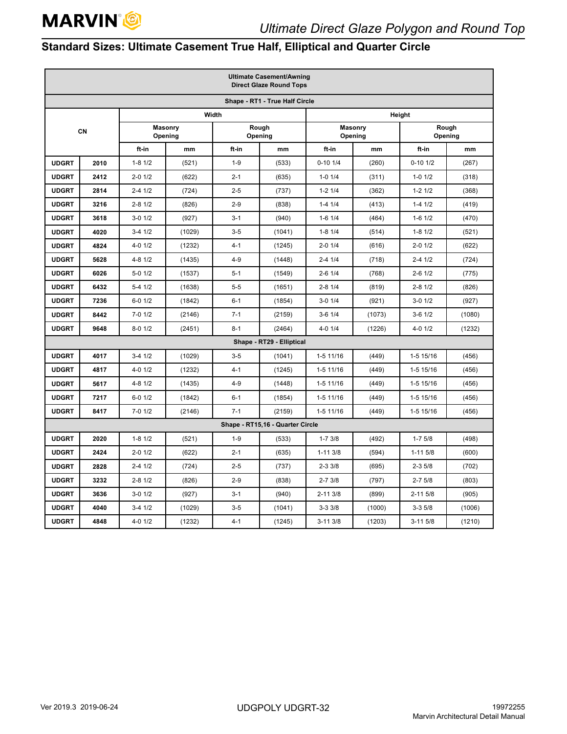# <span id="page-33-0"></span>**Standard Sizes: Ultimate Casement True Half, Elliptical and Quarter Circle**

| <b>Ultimate Casement/Awning</b><br><b>Direct Glaze Round Tops</b> |      |               |                           |         |                                  |               |                           |               |        |  |  |  |  |
|-------------------------------------------------------------------|------|---------------|---------------------------|---------|----------------------------------|---------------|---------------------------|---------------|--------|--|--|--|--|
|                                                                   |      |               |                           |         | Shape - RT1 - True Half Circle   |               |                           |               |        |  |  |  |  |
|                                                                   |      |               |                           | Width   |                                  |               |                           | Height        |        |  |  |  |  |
|                                                                   | CN   |               | <b>Masonry</b><br>Opening |         | Rough<br>Opening                 |               | <b>Masonry</b><br>Opening | Opening       | Rough  |  |  |  |  |
|                                                                   |      | ft-in         | mm                        | ft-in   | mm                               | ft-in         | mm                        | ft-in         | mm     |  |  |  |  |
| <b>UDGRT</b>                                                      | 2010 | $1-8$ $1/2$   | (521)                     | $1 - 9$ | (533)                            | $0-10$ $1/4$  | (260)                     | $0-10$ $1/2$  | (267)  |  |  |  |  |
| <b>UDGRT</b>                                                      | 2412 | $2 - 0$ $1/2$ | (622)                     | $2 - 1$ | (635)                            | $1-0$ $1/4$   | (311)                     | $1-0$ $1/2$   | (318)  |  |  |  |  |
| <b>UDGRT</b>                                                      | 2814 | $2 - 4$ 1/2   | (724)                     | $2 - 5$ | (737)                            | $1 - 2$ $1/4$ | (362)                     | $1 - 21/2$    | (368)  |  |  |  |  |
| <b>UDGRT</b>                                                      | 3216 | $2 - 8$ 1/2   | (826)                     | $2 - 9$ | (838)                            | $1-4$ $1/4$   | (413)                     | $1-41/2$      | (419)  |  |  |  |  |
| <b>UDGRT</b>                                                      | 3618 | $3-0$ $1/2$   | (927)                     | $3 - 1$ | (940)                            | $1-6$ $1/4$   | (464)                     | $1-6$ $1/2$   | (470)  |  |  |  |  |
| <b>UDGRT</b>                                                      | 4020 | $3-4$ $1/2$   | (1029)                    | $3-5$   | (1041)                           | $1-8$ $1/4$   | (514)                     | $1 - 81/2$    | (521)  |  |  |  |  |
| <b>UDGRT</b>                                                      | 4824 | $4 - 0$ $1/2$ | (1232)                    | $4 - 1$ | (1245)                           | $2 - 0$ $1/4$ | (616)                     | $2 - 0$ $1/2$ | (622)  |  |  |  |  |
| <b>UDGRT</b>                                                      | 5628 | $4 - 8$ $1/2$ | (1435)                    | $4 - 9$ | (1448)                           | $2 - 4$ $1/4$ | (718)                     | $2 - 4$ 1/2   | (724)  |  |  |  |  |
| <b>UDGRT</b>                                                      | 6026 | $5-0$ $1/2$   | (1537)                    | $5 - 1$ | (1549)                           | $2 - 6$ $1/4$ | (768)                     | $2 - 6$ $1/2$ | (775)  |  |  |  |  |
| <b>UDGRT</b>                                                      | 6432 | $5-4$ $1/2$   | (1638)                    | $5 - 5$ | (1651)                           | $2 - 8$ $1/4$ | (819)                     | $2 - 8$ 1/2   | (826)  |  |  |  |  |
| <b>UDGRT</b>                                                      | 7236 | $6 - 0$ $1/2$ | (1842)                    | $6 - 1$ | (1854)                           | $3-0$ $1/4$   | (921)                     | $3-0$ $1/2$   | (927)  |  |  |  |  |
| <b>UDGRT</b>                                                      | 8442 | $7-0$ $1/2$   | (2146)                    | $7 - 1$ | (2159)                           | $3-6$ $1/4$   | (1073)                    | $3-6$ $1/2$   | (1080) |  |  |  |  |
| <b>UDGRT</b>                                                      | 9648 | $8 - 0$ 1/2   | (2451)                    | $8 - 1$ | (2464)                           | $4-0$ $1/4$   | (1226)                    | $4-0$ $1/2$   | (1232) |  |  |  |  |
|                                                                   |      |               |                           |         | Shape - RT29 - Elliptical        |               |                           |               |        |  |  |  |  |
| <b>UDGRT</b>                                                      | 4017 | $3-4$ $1/2$   | (1029)                    | $3-5$   | (1041)                           | 1-5 11/16     | (449)                     | 1-5 15/16     | (456)  |  |  |  |  |
| <b>UDGRT</b>                                                      | 4817 | $4 - 0$ $1/2$ | (1232)                    | $4 - 1$ | (1245)                           | 1-5 11/16     | (449)                     | 1-5 15/16     | (456)  |  |  |  |  |
| <b>UDGRT</b>                                                      | 5617 | $4 - 8$ $1/2$ | (1435)                    | $4 - 9$ | (1448)                           | 1-5 11/16     | (449)                     | 1-5 15/16     | (456)  |  |  |  |  |
| <b>UDGRT</b>                                                      | 7217 | $6 - 0$ $1/2$ | (1842)                    | $6 - 1$ | (1854)                           | 1-5 11/16     | (449)                     | 1-5 15/16     | (456)  |  |  |  |  |
| <b>UDGRT</b>                                                      | 8417 | $7-0$ $1/2$   | (2146)                    | $7 - 1$ | (2159)                           | 1-5 11/16     | (449)                     | 1-5 15/16     | (456)  |  |  |  |  |
|                                                                   |      |               |                           |         | Shape - RT15,16 - Quarter Circle |               |                           |               |        |  |  |  |  |
| <b>UDGRT</b>                                                      | 2020 | $1 - 8$ $1/2$ | (521)                     | $1 - 9$ | (533)                            | $1 - 73/8$    | (492)                     | $1 - 75/8$    | (498)  |  |  |  |  |
| <b>UDGRT</b>                                                      | 2424 | $2 - 0$ $1/2$ | (622)                     | $2 - 1$ | (635)                            | $1 - 113/8$   | (594)                     | $1 - 115/8$   | (600)  |  |  |  |  |
| <b>UDGRT</b>                                                      | 2828 | $2 - 4$ $1/2$ | (724)                     | $2 - 5$ | (737)                            | $2 - 33/8$    | (695)                     | $2 - 35/8$    | (702)  |  |  |  |  |
| <b>UDGRT</b>                                                      | 3232 | $2 - 8$ 1/2   | (826)                     | $2 - 9$ | (838)                            | $2 - 73/8$    | (797)                     | $2 - 75/8$    | (803)  |  |  |  |  |
| <b>UDGRT</b>                                                      | 3636 | $3-0$ $1/2$   | (927)                     | $3-1$   | (940)                            | 2-11 3/8      | (899)                     | $2 - 115/8$   | (905)  |  |  |  |  |
| <b>UDGRT</b>                                                      | 4040 | $3-4$ $1/2$   | (1029)                    | $3 - 5$ | (1041)                           | $3-3.3/8$     | (1000)                    | $3 - 35/8$    | (1006) |  |  |  |  |
| <b>UDGRT</b>                                                      | 4848 | $4-0$ $1/2$   | (1232)                    | 4-1     | (1245)                           | $3-113/8$     | (1203)                    | $3-115/8$     | (1210) |  |  |  |  |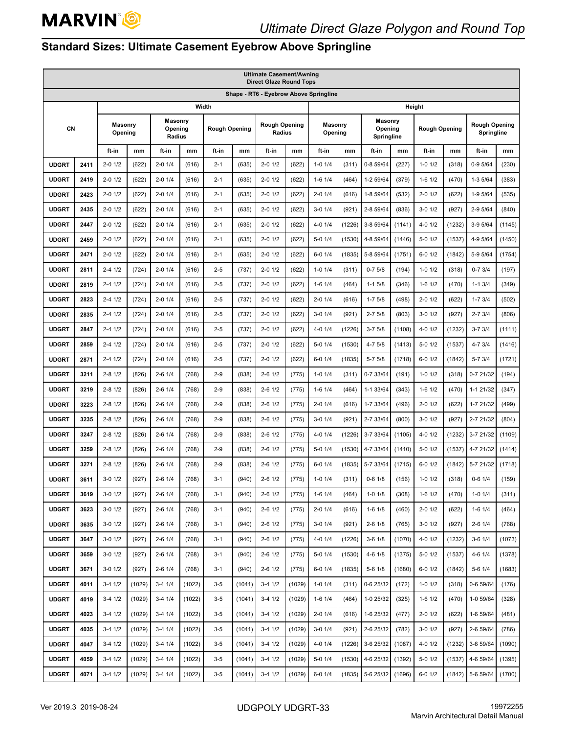# <span id="page-34-0"></span>**Standard Sizes: Ultimate Casement Eyebrow Above Springline**

|              | <b>Ultimate Casement/Awning</b><br><b>Direct Glaze Round Tops</b><br>Shape - RT6 - Eyebrow Above Springline |                           |        |                                     |        |                      |        |                                |        |                           |        |                                         |        |               |        |                                    |        |
|--------------|-------------------------------------------------------------------------------------------------------------|---------------------------|--------|-------------------------------------|--------|----------------------|--------|--------------------------------|--------|---------------------------|--------|-----------------------------------------|--------|---------------|--------|------------------------------------|--------|
|              |                                                                                                             |                           |        |                                     |        |                      |        |                                |        |                           |        |                                         |        |               |        |                                    |        |
|              |                                                                                                             |                           |        |                                     |        | Width                |        |                                |        |                           |        |                                         |        | Height        |        |                                    |        |
| CN           |                                                                                                             | <b>Masonry</b><br>Opening |        | <b>Masonry</b><br>Opening<br>Radius |        | <b>Rough Opening</b> |        | <b>Rough Opening</b><br>Radius |        | <b>Masonry</b><br>Opening |        | <b>Masonry</b><br>Opening<br>Springline |        | Rough Opening |        | <b>Rough Opening</b><br>Springline |        |
|              |                                                                                                             | ft-in                     | mm     | ft-in                               | mm     | ft-in                | mm     | ft-in                          | mm     | ft-in                     | mm     | ft-in                                   | mm     | ft-in         | mm     | ft-in                              | mm     |
| <b>UDGRT</b> | 2411                                                                                                        | $2 - 0$ $1/2$             | (622)  | $2 - 0$ $1/4$                       | (616)  | $2 - 1$              | (635)  | $2 - 0$ $1/2$                  | (622)  | $1-0$ $1/4$               | (311)  | 0-8 59/64                               | (227)  | $1-0$ $1/2$   | (318)  | 0-9 5/64                           | (230)  |
| <b>UDGRT</b> | 2419                                                                                                        | 2-0 1/2                   | (622)  | $2 - 0$ $1/4$                       | (616)  | $2 - 1$              | (635)  | $2 - 0$ $1/2$                  | (622)  | $1-6$ $1/4$               | (464)  | 1-2 59/64                               | (379)  | $1-6$ $1/2$   | (470)  | 1-3 5/64                           | (383)  |
| <b>UDGRT</b> | 2423                                                                                                        | $2 - 0$ $1/2$             | (622)  | $2 - 0$ 1/4                         | (616)  | $2 - 1$              | (635)  | $2 - 0$ $1/2$                  | (622)  | $2 - 0$ $1/4$             | (616)  | 1-8 59/64                               | (532)  | $2 - 0$ $1/2$ | (622)  | 1-9 5/64                           | (535)  |
| <b>UDGRT</b> | 2435                                                                                                        | $2 - 0$ $1/2$             | (622)  | $2 - 0$ 1/4                         | (616)  | $2 - 1$              | (635)  | $2 - 0$ $1/2$                  | (622)  | $3-0$ $1/4$               | (921)  | 2-8 59/64                               | (836)  | $3-0$ $1/2$   | (927)  | 2-9 5/64                           | (840)  |
| <b>UDGRT</b> | 2447                                                                                                        | 2-0 1/2                   | (622)  | $2 - 0$ $1/4$                       | (616)  | $2 - 1$              | (635)  | $2 - 0$ $1/2$                  | (622)  | $4 - 0$ $1/4$             | (1226) | 3-8 59/64                               | (1141) | $4 - 0$ $1/2$ | (1232) | 3-9 5/64                           | (1145) |
| <b>UDGRT</b> | 2459                                                                                                        | $2 - 0$ $1/2$             | (622)  | $2 - 0$ 1/4                         | (616)  | $2 - 1$              | (635)  | $2 - 0$ $1/2$                  | (622)  | $5-0$ $1/4$               | (1530) | 4-8 59/64                               | (1446) | $5-0$ $1/2$   | (1537) | 4-9 5/64                           | (1450) |
| <b>UDGRT</b> | 2471                                                                                                        | $2 - 0$ $1/2$             | (622)  | $2 - 0$ 1/4                         | (616)  | $2 - 1$              | (635)  | $2 - 0$ $1/2$                  | (622)  | $6 - 0$ $1/4$             | (1835) | 5-8 59/64                               | (1751) | $6 - 0$ $1/2$ | (1842) | 5-9 5/64                           | (1754) |
| <b>UDGRT</b> | 2811                                                                                                        | 2-4 1/2                   | (724)  | $2 - 0$ $1/4$                       | (616)  | $2 - 5$              | (737)  | $2 - 0$ $1/2$                  | (622)  | $1-0$ $1/4$               | (311)  | $0 - 75/8$                              | (194)  | $1-0$ $1/2$   | (318)  | $0 - 73/4$                         | (197)  |
| <b>UDGRT</b> | 2819                                                                                                        | $2 - 4$ $1/2$             | (724)  | $2 - 0$ 1/4                         | (616)  | $2 - 5$              | (737)  | $2 - 0$ $1/2$                  | (622)  | $1-6$ $1/4$               | (464)  | $1 - 1$ $5/8$                           | (346)  | $1-6$ $1/2$   | (470)  | $1 - 1$ $3/4$                      | (349)  |
| <b>UDGRT</b> | 2823                                                                                                        | 2-4 1/2                   | (724)  | $2 - 0$ 1/4                         | (616)  | $2 - 5$              | (737)  | $2 - 0$ $1/2$                  | (622)  | $2 - 0$ $1/4$             | (616)  | $1 - 75/8$                              | (498)  | $2 - 0$ $1/2$ | (622)  | $1 - 73/4$                         | (502)  |
| <b>UDGRT</b> | 2835                                                                                                        | $2 - 4$ $1/2$             | (724)  | $2 - 0$ 1/4                         | (616)  | $2 - 5$              | (737)  | $2 - 0$ $1/2$                  | (622)  | $3 - 0$ $1/4$             | (921)  | $2 - 75/8$                              | (803)  | $3-0$ $1/2$   | (927)  | $2 - 73/4$                         | (806)  |
| <b>UDGRT</b> | 2847                                                                                                        | $2 - 4$ $1/2$             | (724)  | $2 - 0$ 1/4                         | (616)  | $2 - 5$              | (737)  | $2 - 0$ $1/2$                  | (622)  | $4 - 0$ $1/4$             | (1226) | $3 - 75/8$                              | (1108) | $4 - 0$ $1/2$ | (1232) | $3 - 73/4$                         | (1111) |
| <b>UDGRT</b> | 2859                                                                                                        | $2 - 4$ $1/2$             | (724)  | $2 - 0$ 1/4                         | (616)  | $2 - 5$              | (737)  | $2 - 0$ $1/2$                  | (622)  | $5-0$ $1/4$               | (1530) | $4 - 75/8$                              | (1413) | $5-0$ $1/2$   | (1537) | $4 - 73/4$                         | (1416) |
| <b>UDGRT</b> | 2871                                                                                                        | $2 - 4$ $1/2$             | (724)  | $2 - 0$ $1/4$                       | (616)  | $2 - 5$              | (737)  | $2 - 0$ $1/2$                  | (622)  | $6 - 0$ $1/4$             | (1835) | $5 - 75/8$                              | (1718) | $6 - 0$ $1/2$ | (1842) | $5 - 73/4$                         | (1721) |
| <b>UDGRT</b> | 3211                                                                                                        | $2 - 8$ $1/2$             | (826)  | $2 - 6$ 1/4                         | (768)  | $2 - 9$              | (838)  | $2 - 6$ $1/2$                  | (775)  | $1-0$ $1/4$               | (311)  | 0-7 33/64                               | (191)  | $1-0$ $1/2$   | (318)  | 0-7 21/32                          | (194)  |
| <b>UDGRT</b> | 3219                                                                                                        | 2-8 1/2                   | (826)  | $2 - 6$ 1/4                         | (768)  | $2 - 9$              | (838)  | $2 - 6$ 1/2                    | (775)  | $1-6$ $1/4$               | (464)  | 1-1 33/64                               | (343)  | $1-6$ $1/2$   | (470)  | 1-1 21/32                          | (347)  |
| <b>UDGRT</b> | 3223                                                                                                        | $2 - 8$ $1/2$             | (826)  | $2 - 6$ 1/4                         | (768)  | $2 - 9$              | (838)  | $2 - 6$ $1/2$                  | (775)  | $2 - 0$ $1/4$             | (616)  | 1-7 33/64                               | (496)  | $2 - 0$ $1/2$ | (622)  | 1-7 21/32                          | (499)  |
| <b>UDGRT</b> | 3235                                                                                                        | $2 - 8$ $1/2$             | (826)  | $2 - 6$ 1/4                         | (768)  | $2 - 9$              | (838)  | $2 - 6$ $1/2$                  | (775)  | $3-0$ $1/4$               | (921)  | 2-7 33/64                               | (800)  | $3-0$ $1/2$   | (927)  | 2-7 21/32                          | (804)  |
| <b>UDGRT</b> | 3247                                                                                                        | $2 - 8$ $1/2$             | (826)  | $2 - 6$ $1/4$                       | (768)  | $2 - 9$              | (838)  | $2 - 6$ $1/2$                  | (775)  | $4 - 0$ $1/4$             | (1226) | 3-7 33/64                               | (1105) | $4 - 0$ $1/2$ | (1232) | 3-7 21/32                          | (1109) |
| <b>UDGRT</b> | 3259                                                                                                        | $2 - 8$ $1/2$             | (826)  | $2 - 6$ 1/4                         | (768)  | $2 - 9$              | (838)  | $2 - 6$ $1/2$                  | (775)  | $5-0$ $1/4$               | (1530) | 4-7 33/64                               | (1410) | $5-0$ $1/2$   | (1537) | 4-7 21/32                          | (1414) |
| <b>UDGRT</b> | 3271                                                                                                        | $2 - 8$ 1/2               | (826)  | $2 - 6$ 1/4                         | (768)  | $2 - 9$              | (838)  | $2 - 6$ $1/2$                  | (775)  | $6-0.1/4$                 | (1835) | 5-7 33/64                               | (1715) | $6 - 0$ $1/2$ | (1842) | 5-7 21/32                          | (1718) |
| <b>UDGRT</b> | 3611                                                                                                        | 3-0 1/2                   | (927)  | $2-6$ $1/4$                         | (768)  | $3 - 1$              | (940)  | $2 - 6$ $1/2$                  | (775)  | $1-0$ $1/4$               | (311)  | $0 - 6$ 1/8                             | (156)  | $1-0$ $1/2$   | (318)  | $0 - 6$ $1/4$                      | (159)  |
| <b>UDGRT</b> | 3619                                                                                                        | $3-0$ $1/2$               | (927)  | $2 - 6$ 1/4                         | (768)  | $3 - 1$              | (940)  | $2 - 6$ 1/2                    | (775)  | $1-6$ $1/4$               | (464)  | $1-0$ $1/8$                             | (308)  | $1-6$ $1/2$   | (470)  | $1-0$ $1/4$                        | (311)  |
| <b>UDGRT</b> | 3623                                                                                                        | $3-0$ $1/2$               | (927)  | $2 - 6$ 1/4                         | (768)  | $3 - 1$              | (940)  | $2 - 6$ 1/2                    | (775)  | $2 - 0$ $1/4$             | (616)  | $1-6$ $1/8$                             | (460)  | $2 - 0$ $1/2$ | (622)  | $1-6$ $1/4$                        | (464)  |
| UDGRT        | 3635                                                                                                        | $3-0$ $1/2$               | (927)  | $2 - 6$ 1/4                         | (768)  | $3 - 1$              | (940)  | $2 - 6$ 1/2                    | (775)  | $3-0$ $1/4$               | (921)  | $2 - 6$ 1/8                             | (765)  | $3-0$ $1/2$   | (927)  | $2 - 6$ 1/4                        | (768)  |
| <b>UDGRT</b> | 3647                                                                                                        | $3-0$ $1/2$               | (927)  | $2 - 6$ 1/4                         | (768)  | $3 - 1$              | (940)  | $2 - 6$ 1/2                    | (775)  | $4 - 0$ $1/4$             | (1226) | $3-6$ $1/8$                             | (1070) | $4 - 0$ $1/2$ | (1232) | $3-6$ $1/4$                        | (1073) |
| <b>UDGRT</b> | 3659                                                                                                        | $3-0$ $1/2$               | (927)  | $2 - 6$ $1/4$                       | (768)  | $3 - 1$              | (940)  | $2 - 6$ 1/2                    | (775)  | $5 - 0$ $1/4$             | (1530) | $4 - 6$ $1/8$                           | (1375) | $5-0$ $1/2$   | (1537) | $4 - 6$ $1/4$                      | (1378) |
| UDGRT        | 3671                                                                                                        | $3-0$ $1/2$               | (927)  | $2 - 6$ $1/4$                       | (768)  | $3 - 1$              | (940)  | $2 - 6$ $1/2$                  | (775)  | $6 - 0$ $1/4$             | (1835) | $5 - 6$ $1/8$                           | (1680) | $6 - 0$ $1/2$ | (1842) | 5-6 1/4                            | (1683) |
| <b>UDGRT</b> | 4011                                                                                                        | $3-4$ $1/2$               | (1029) | $3-4$ $1/4$                         | (1022) | $3-5$                | (1041) | $3-41/2$                       | (1029) | $1-0$ $1/4$               | (311)  | 0-6 25/32                               | (172)  | $1-0$ $1/2$   | (318)  | 0-6 59/64                          | (176)  |
| <b>UDGRT</b> | 4019                                                                                                        | $3-4$ $1/2$               | (1029) | $3-4$ $1/4$                         | (1022) | $3 - 5$              | (1041) | $3-4$ $1/2$                    | (1029) | $1-6$ $1/4$               | (464)  | 1-0 25/32                               | (325)  | $1-6$ $1/2$   | (470)  | 1-0 59/64                          | (328)  |
| <b>UDGRT</b> | 4023                                                                                                        | $3-4$ $1/2$               | (1029) | $3-4$ $1/4$                         | (1022) | $3 - 5$              | (1041) | $3-4$ $1/2$                    | (1029) | $2 - 0$ $1/4$             | (616)  | 1-6 25/32                               | (477)  | $2 - 0$ 1/2   | (622)  | 1-6 59/64                          | (481)  |
| <b>UDGRT</b> | 4035                                                                                                        | $3-41/2$                  | (1029) | $3-4$ $1/4$                         | (1022) | $3-5$                | (1041) | $3-4$ $1/2$                    | (1029) | $3-0$ $1/4$               | (921)  | 2-6 25/32                               | (782)  | $3 - 0$ $1/2$ | (927)  | 2-6 59/64                          | (786)  |
| <b>UDGRT</b> | 4047                                                                                                        | $3-4$ $1/2$               | (1029) | $3-4$ $1/4$                         | (1022) | $3 - 5$              | (1041) | $3-41/2$                       | (1029) | 4-0 1/4                   | (1226) | 3-6 25/32                               | (1087) | 4-0 1/2       | (1232) | 3-6 59/64                          | (1090) |
| UDGRT        | 4059                                                                                                        | $3-41/2$                  | (1029) | $3-4$ $1/4$                         | (1022) | $3 - 5$              | (1041) | $3-4$ $1/2$                    | (1029) | $5-0$ $1/4$               | (1530) | 4-6 25/32                               | (1392) | $5-0$ $1/2$   | (1537) | 4-6 59/64                          | (1395) |
| <b>UDGRT</b> | 4071                                                                                                        | $3-4$ $1/2$               | (1029) | $3-4$ $1/4$                         | (1022) | $3 - 5$              | (1041) | $3-4$ $1/2$                    | (1029) | $6 - 0$ $1/4$             | (1835) | 5-6 25/32                               | (1696) | $6 - 0$ 1/2   | (1842) | 5-6 59/64                          | (1700) |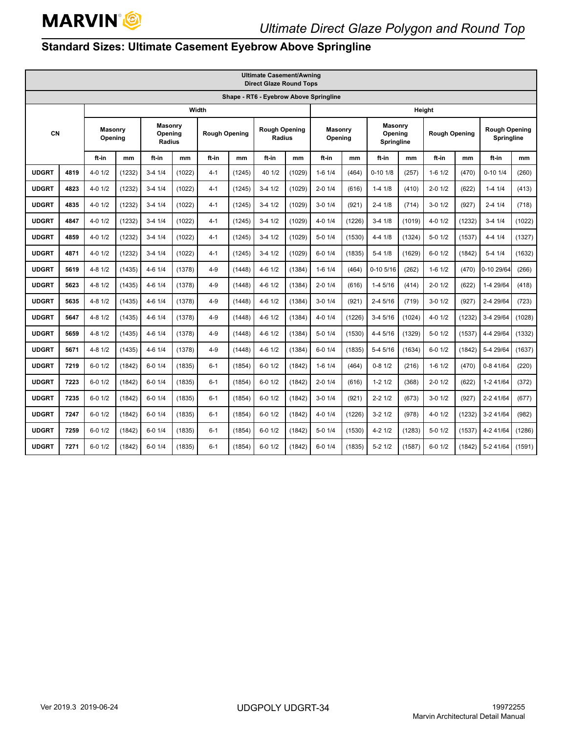# **Standard Sizes: Ultimate Casement Eyebrow Above Springline**

|              | <b>Ultimate Casement/Awning</b><br><b>Direct Glaze Round Tops</b><br>Shape - RT6 - Eyebrow Above Springline |                           |        |                                     |        |                      |        |                                |        |                           |        |                                                |        |                      |        |                                           |        |
|--------------|-------------------------------------------------------------------------------------------------------------|---------------------------|--------|-------------------------------------|--------|----------------------|--------|--------------------------------|--------|---------------------------|--------|------------------------------------------------|--------|----------------------|--------|-------------------------------------------|--------|
|              |                                                                                                             |                           |        |                                     |        |                      |        |                                |        |                           |        |                                                |        |                      |        |                                           |        |
|              |                                                                                                             |                           |        |                                     |        | Width                |        |                                |        |                           |        |                                                |        | Height               |        |                                           |        |
| CN           |                                                                                                             | <b>Masonry</b><br>Opening |        | <b>Masonry</b><br>Opening<br>Radius |        | <b>Rough Opening</b> |        | <b>Rough Opening</b><br>Radius |        | <b>Masonry</b><br>Opening |        | <b>Masonry</b><br>Opening<br><b>Springline</b> |        | <b>Rough Opening</b> |        | <b>Rough Opening</b><br><b>Springline</b> |        |
|              |                                                                                                             | ft-in                     | mm     | ft-in                               | mm     | ft-in                | mm     | ft-in                          | mm     | ft-in                     | mm     | ft-in                                          | mm     | ft-in                | mm     | ft-in                                     | mm     |
| <b>UDGRT</b> | 4819                                                                                                        | 4-0 1/2                   | (1232) | $3-41/4$                            | (1022) | $4 - 1$              | (1245) | 40 1/2                         | (1029) | $1-6$ $1/4$               | (464)  | $0-10$ $1/8$                                   | (257)  | $1-6$ $1/2$          | (470)  | $0-10$ $1/4$                              | (260)  |
| <b>UDGRT</b> | 4823                                                                                                        | 4-0 1/2                   | (1232) | $3-4$ $1/4$                         | (1022) | $4 - 1$              | (1245) | $3-41/2$                       | (1029) | $2 - 0$ $1/4$             | (616)  | $1-41/8$                                       | (410)  | $2 - 0$ 1/2          | (622)  | $1-4$ $1/4$                               | (413)  |
| <b>UDGRT</b> | 4835                                                                                                        | 4-0 1/2                   | (1232) | $3-4$ $1/4$                         | (1022) | $4 - 1$              | (1245) | $3-41/2$                       | (1029) | $3-0$ $1/4$               | (921)  | $2 - 41/8$                                     | (714)  | $3-0$ $1/2$          | (927)  | $2 - 4$ $1/4$                             | (718)  |
| <b>UDGRT</b> | 4847                                                                                                        | 4-0 1/2                   | (1232) | $3-4$ $1/4$                         | (1022) | $4 - 1$              | (1245) | $3-41/2$                       | (1029) | 4-0 1/4                   | (1226) | $3-41/8$                                       | (1019) | $4-0$ $1/2$          | (1232) | $3-4$ $1/4$                               | (1022) |
| <b>UDGRT</b> | 4859                                                                                                        | 4-0 1/2                   | (1232) | $3-4$ $1/4$                         | (1022) | $4 - 1$              | (1245) | $3-4$ $1/2$                    | (1029) | $5-0$ $1/4$               | (1530) | $4-4$ $1/8$                                    | (1324) | $5-0$ $1/2$          | (1537) | 4-4 1/4                                   | (1327) |
| <b>UDGRT</b> | 4871                                                                                                        | 4-0 1/2                   | (1232) | $3-4$ $1/4$                         | (1022) | $4 - 1$              | (1245) | $3-41/2$                       | (1029) | $6 - 0$ $1/4$             | (1835) | $5-41/8$                                       | (1629) | $6 - 0$ $1/2$        | (1842) | $5-41/4$                                  | (1632) |
| <b>UDGRT</b> | 5619                                                                                                        | 4-8 1/2                   | (1435) | 4-6 1/4                             | (1378) | $4 - 9$              | (1448) | $4 - 6$ $1/2$                  | (1384) | $1-6$ $1/4$               | (464)  | $0-105/16$                                     | (262)  | $1-6$ $1/2$          | (470)  | 0-10 29/64                                | (266)  |
| <b>UDGRT</b> | 5623                                                                                                        | 4-8 1/2                   | (1435) | $4 - 6$ $1/4$                       | (1378) | $4 - 9$              | (1448) | $4 - 6$ $1/2$                  | (1384) | $2 - 0$ $1/4$             | (616)  | $1-4$ 5/16                                     | (414)  | $2 - 0$ $1/2$        | (622)  | 1-4 29/64                                 | (418)  |
| <b>UDGRT</b> | 5635                                                                                                        | 4-8 1/2                   | (1435) | $4 - 6$ $1/4$                       | (1378) | $4 - 9$              | (1448) | $4 - 6$ $1/2$                  | (1384) | $3-0$ $1/4$               | (921)  | $2 - 45/16$                                    | (719)  | $3-0$ $1/2$          | (927)  | 2-4 29/64                                 | (723)  |
| <b>UDGRT</b> | 5647                                                                                                        | $4 - 8$ $1/2$             | (1435) | $4 - 6$ $1/4$                       | (1378) | $4 - 9$              | (1448) | $4-6$ $1/2$                    | (1384) | $4-0.1/4$                 | (1226) | $3-4$ $5/16$                                   | (1024) | $4 - 0$ $1/2$        | (1232) | 3-4 29/64                                 | (1028) |
| <b>UDGRT</b> | 5659                                                                                                        | 4-8 1/2                   | (1435) | $4 - 6$ $1/4$                       | (1378) | $4 - 9$              | (1448) | $4 - 6$ $1/2$                  | (1384) | $5-0$ $1/4$               | (1530) | 4-4 5/16                                       | (1329) | $5-0$ $1/2$          | (1537) | 4-4 29/64                                 | (1332) |
| <b>UDGRT</b> | 5671                                                                                                        | 4-8 1/2                   | (1435) | $4 - 6$ $1/4$                       | (1378) | $4 - 9$              | (1448) | $4 - 6$ $1/2$                  | (1384) | $6 - 0$ $1/4$             | (1835) | 5-4 5/16                                       | (1634) | $6 - 0$ $1/2$        | (1842) | 5-4 29/64                                 | (1637) |
| <b>UDGRT</b> | 7219                                                                                                        | $6 - 0$ $1/2$             | (1842) | $6 - 0$ $1/4$                       | (1835) | $6 - 1$              | (1854) | $6 - 0$ $1/2$                  | (1842) | $1-6$ $1/4$               | (464)  | $0 - 8$ 1/2                                    | (216)  | $1-6$ $1/2$          | (470)  | $0 - 841/64$                              | (220)  |
| <b>UDGRT</b> | 7223                                                                                                        | $6 - 0$ $1/2$             | (1842) | $6 - 0$ $1/4$                       | (1835) | $6 - 1$              | (1854) | $6 - 0$ $1/2$                  | (1842) | $2 - 0$ $1/4$             | (616)  | $1 - 21/2$                                     | (368)  | $2 - 0$ $1/2$        | (622)  | 1-2 41/64                                 | (372)  |
| <b>UDGRT</b> | 7235                                                                                                        | $6-0$ $1/2$               | (1842) | $6 - 0$ $1/4$                       | (1835) | $6 - 1$              | (1854) | $6 - 0$ $1/2$                  | (1842) | $3-0.1/4$                 | (921)  | $2 - 21/2$                                     | (673)  | $3-0$ $1/2$          | (927)  | 2-2 41/64                                 | (677)  |
| <b>UDGRT</b> | 7247                                                                                                        | $6-0$ $1/2$               | (1842) | $6 - 0$ $1/4$                       | (1835) | $6 - 1$              | (1854) | $6 - 0$ $1/2$                  | (1842) | 4-0 1/4                   | (1226) | $3-2$ $1/2$                                    | (978)  | $4 - 0$ $1/2$        | (1232) | 3-2 41/64                                 | (982)  |
| <b>UDGRT</b> | 7259                                                                                                        | $6-0$ $1/2$               | (1842) | $6 - 0$ $1/4$                       | (1835) | $6 - 1$              | (1854) | $6 - 0$ $1/2$                  | (1842) | $5-0$ $1/4$               | (1530) | $4 - 21/2$                                     | (1283) | $5-0$ $1/2$          | (1537) | 4-2 41/64                                 | (1286) |
| <b>UDGRT</b> | 7271                                                                                                        | $6-0$ $1/2$               | (1842) | $6 - 0$ $1/4$                       | (1835) | $6 - 1$              | (1854) | $6 - 0$ $1/2$                  | (1842) | $6-0.1/4$                 | (1835) | $5 - 21/2$                                     | (1587) | $6 - 0$ $1/2$        | (1842) | 5-2 41/64                                 | (1591) |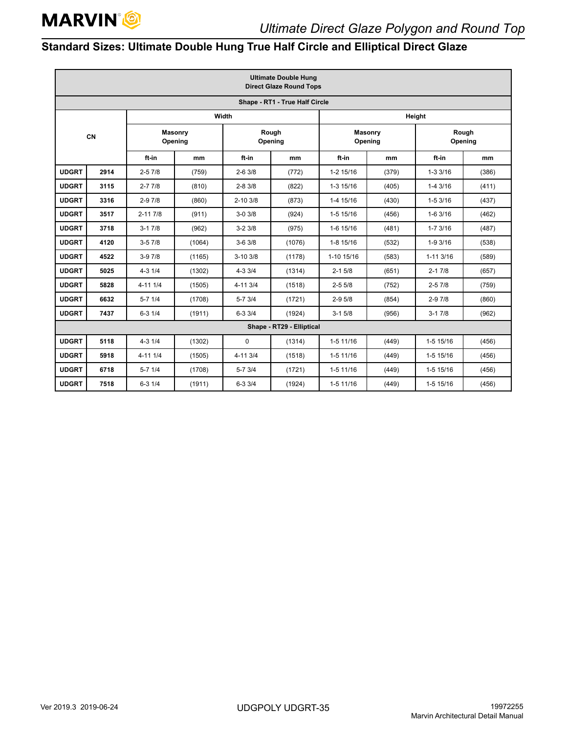# <span id="page-36-0"></span>**Standard Sizes: Ultimate Double Hung True Half Circle and Elliptical Direct Glaze**

|              | <b>Ultimate Double Hung</b><br><b>Direct Glaze Round Tops</b> |                       |                           |                |                                |             |                           |             |                  |  |  |  |  |  |
|--------------|---------------------------------------------------------------|-----------------------|---------------------------|----------------|--------------------------------|-------------|---------------------------|-------------|------------------|--|--|--|--|--|
|              |                                                               |                       |                           |                | Shape - RT1 - True Half Circle |             |                           |             |                  |  |  |  |  |  |
|              |                                                               |                       |                           | Width          |                                |             |                           | Height      |                  |  |  |  |  |  |
|              | CN                                                            |                       | <b>Masonry</b><br>Opening |                | Rough<br>Opening               |             | <b>Masonry</b><br>Opening |             | Rough<br>Opening |  |  |  |  |  |
|              |                                                               | ft-in                 | mm                        | ft-in          | mm                             | ft-in       | mm                        | ft-in       | mm               |  |  |  |  |  |
| <b>UDGRT</b> | 2914                                                          | $2 - 57/8$            | (759)                     | $2 - 63/8$     | (772)                          | $1-2$ 15/16 | (379)                     | $1-33/16$   | (386)            |  |  |  |  |  |
| <b>UDGRT</b> | 3115                                                          | $2 - 77/8$            | (810)                     | $2 - 83/8$     | (822)                          | 1-3 15/16   | (405)                     | $1-43/16$   | (411)            |  |  |  |  |  |
| <b>UDGRT</b> | 3316                                                          | $2-97/8$              | (860)                     | $2 - 103/8$    | (873)                          | $1-4$ 15/16 | (430)                     | 1-5 3/16    | (437)            |  |  |  |  |  |
| <b>UDGRT</b> | 3517                                                          | $2 - 117/8$           | (911)                     | $3-0.3/8$      | (924)                          | 1-5 15/16   | (456)                     | 1-6 3/16    | (462)            |  |  |  |  |  |
| <b>UDGRT</b> | 3718                                                          | $3 - 17/8$            | (962)                     | $3-23/8$       | (975)                          | 1-6 15/16   | (481)                     | $1 - 73/16$ | (487)            |  |  |  |  |  |
| <b>UDGRT</b> | 4120                                                          | $3-57/8$              | (1064)                    | $3-63/8$       | (1076)                         | $1-8$ 15/16 | (532)                     | 1-9 3/16    | (538)            |  |  |  |  |  |
| <b>UDGRT</b> | 4522                                                          | $3-97/8$              | (1165)                    | $3-10.3/8$     | (1178)                         | 1-10 15/16  | (583)                     | $1-113/16$  | (589)            |  |  |  |  |  |
| <b>UDGRT</b> | 5025                                                          | $4 - 3$ $1/4$         | (1302)                    | $4 - 3$ $3/4$  | (1314)                         | $2 - 15/8$  | (651)                     | $2 - 17/8$  | (657)            |  |  |  |  |  |
| <b>UDGRT</b> | 5828                                                          | $4 - 111/4$           | (1505)                    | $4 - 11$ $3/4$ | (1518)                         | $2 - 55/8$  | (752)                     | $2 - 57/8$  | (759)            |  |  |  |  |  |
| <b>UDGRT</b> | 6632                                                          | $5 - 71/4$            | (1708)                    | $5 - 7.3/4$    | (1721)                         | $2 - 95/8$  | (854)                     | $2 - 97/8$  | (860)            |  |  |  |  |  |
| <b>UDGRT</b> | 7437                                                          | $6 - 31/4$            | (1911)                    | $6 - 33/4$     | (1924)                         | $3 - 15/8$  | (956)                     | $3 - 17/8$  | (962)            |  |  |  |  |  |
|              |                                                               |                       |                           |                | Shape - RT29 - Elliptical      |             |                           |             |                  |  |  |  |  |  |
| <b>UDGRT</b> | 5118                                                          | $4-3$ $1/4$           | (1302)                    | $\mathbf 0$    | (1314)                         | $1-5$ 11/16 | (449)                     | 1-5 15/16   | (456)            |  |  |  |  |  |
| <b>UDGRT</b> | 5918                                                          | $4 - 111/4$<br>(1505) |                           | 4-11 3/4       | (1518)                         | 1-5 11/16   | (449)                     | 1-5 15/16   | (456)            |  |  |  |  |  |
| <b>UDGRT</b> | 6718                                                          | $5 - 71/4$            | (1708)                    | $5 - 73/4$     | (1721)                         | 1-5 11/16   | (449)                     | 1-5 15/16   | (456)            |  |  |  |  |  |
| <b>UDGRT</b> | 7518                                                          | $6 - 31/4$            | (1911)                    | $6 - 33/4$     | (1924)                         | 1-5 11/16   | (449)                     | 1-5 15/16   | (456)            |  |  |  |  |  |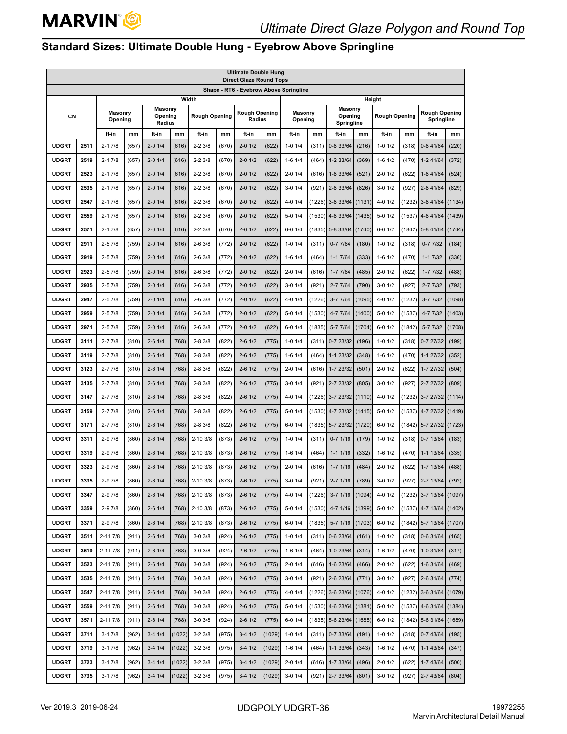# <span id="page-37-0"></span>**Standard Sizes: Ultimate Double Hung - Eyebrow Above Springline**

|                              | <b>Ultimate Double Hung</b><br><b>Direct Glaze Round Tops</b><br>Shape - RT6 - Eyebrow Above Springline |                            |                |                                     |                  |                          |                |                                |                  |                                |                |                                                |                |                            |                |                                                    |                |
|------------------------------|---------------------------------------------------------------------------------------------------------|----------------------------|----------------|-------------------------------------|------------------|--------------------------|----------------|--------------------------------|------------------|--------------------------------|----------------|------------------------------------------------|----------------|----------------------------|----------------|----------------------------------------------------|----------------|
|                              |                                                                                                         |                            |                |                                     |                  |                          |                |                                |                  |                                |                |                                                |                |                            |                |                                                    |                |
|                              |                                                                                                         |                            |                |                                     |                  | Width                    |                |                                |                  |                                |                |                                                |                | Height                     |                |                                                    |                |
| CN                           |                                                                                                         | <b>Masonry</b><br>Opening  |                | <b>Masonry</b><br>Opening<br>Radius |                  | Rough Opening            |                | <b>Rough Opening</b><br>Radius |                  | <b>Masonry</b><br>Opening      |                | <b>Masonry</b><br>Opening<br><b>Springline</b> |                | Rough Opening              |                | <b>Rough Opening</b><br>Springline                 |                |
|                              |                                                                                                         | ft-in                      | mm             | ft-in                               | mm               | ft-in                    | mm             | ft-in                          | mm               | ft-in                          | mm             | ft-in                                          | mm             | ft-in                      | mm             | ft-in                                              | mm             |
| <b>UDGRT</b>                 | 2511                                                                                                    | $2 - 17/8$                 | (657)          | $2 - 0$ $1/4$                       | (616)            | $2 - 23/8$               | (670)          | $2 - 0$ $1/2$                  | (622)            | $1-0$ $1/4$                    | (311)          | 0-8 33/64                                      | (216)          | $1-0$ $1/2$                | (318)          | 0-8 41/64                                          | (220)          |
| <b>UDGRT</b>                 | 2519                                                                                                    | $2 - 17/8$                 | (657)          | $2 - 0$ $1/4$                       | (616)            | $2 - 23/8$               | (670)          | $2 - 0$ $1/2$                  | (622)            | $1-6$ $1/4$                    | (464)          | 1-2 33/64                                      | (369)          | $1-6$ $1/2$                | (470)          | 1-2 41/64                                          | (372)          |
| <b>UDGRT</b>                 | 2523                                                                                                    | $2 - 17/8$                 | (657)          | $2 - 0$ $1/4$                       | (616)            | $2 - 23/8$               | (670)          | $2 - 0$ $1/2$                  | (622)            | $2 - 0$ $1/4$                  | (616)          | 1-8 33/64                                      | (521)          | $2 - 0$ $1/2$              | (622)          | 1-8 41/64                                          | (524)          |
| <b>UDGRT</b>                 | 2535                                                                                                    | $2 - 17/8$                 | (657)          | $2 - 0$ $1/4$                       | (616)            | $2 - 23/8$               | (670)          | $2 - 0$ $1/2$                  | (622)            | $3-0$ $1/4$                    | (921)          | 2-8 33/64                                      | (826)          | $3-0$ $1/2$                | (927)          | 2-8 41/64                                          | (829)          |
| <b>UDGRT</b>                 | 2547                                                                                                    | $2 - 17/8$                 | (657)          | $2 - 0$ $1/4$                       | (616)            | $2 - 23/8$               | (670)          | $2 - 0$ $1/2$                  | (622)            | $4 - 0$ $1/4$                  | (1226)         | 3-8 33/64                                      | (1131)         | $4 - 0$ $1/2$              | (1232)         | 3-8 41/64                                          | (1134)         |
| <b>UDGRT</b>                 | 2559                                                                                                    | $2 - 17/8$                 | (657)          | $2 - 0$ $1/4$                       | (616)            | $2 - 23/8$               | (670)          | $2 - 0$ $1/2$                  | (622)            | $5-0$ $1/4$                    | (1530)         | 4-8 33/64                                      | (1435)         | $5-0$ $1/2$                | (1537)         | 4-8 41/64                                          | (1439)         |
| <b>UDGRT</b>                 | 2571                                                                                                    | $2 - 17/8$                 | (657)          | $2 - 0$ $1/4$                       | (616)            | $2 - 23/8$               | (670)          | $2 - 0$ $1/2$                  | (622)            | $6 - 0$ $1/4$                  | (1835)         | 5-8 33/64                                      | (1740)         | $6 - 0$ $1/2$              | (1842)         | 5-8 41/64                                          | (1744)         |
| <b>UDGRT</b>                 | 2911                                                                                                    | $2 - 57/8$                 | (759)          | $2 - 0$ $1/4$                       | (616)            | $2 - 63/8$               | (772)          | $2 - 0$ $1/2$                  | (622)            | $1-0$ $1/4$                    | (311)          | $0-77/64$                                      | (180)          | $1-0$ $1/2$                | (318)          | $0-77/32$                                          | (184)          |
| <b>UDGRT</b>                 | 2919                                                                                                    | $2 - 57/8$                 | (759)          | $2 - 0$ $1/4$                       | (616)            | $2 - 63/8$               | (772)          | $2 - 0$ $1/2$                  | (622)            | $1-6$ $1/4$                    | (464)          | 1-1 7/64                                       | (333)          | $1-6$ $1/2$                | (470)          | $1-17/32$                                          | (336)          |
| <b>UDGRT</b>                 | 2923                                                                                                    | $2 - 57/8$                 | (759)          | $2 - 0$ $1/4$                       | (616)            | $2 - 63/8$               | (772)          | $2 - 0$ $1/2$                  | (622)            | $2 - 0$ $1/4$                  | (616)          | 1-7 7/64                                       | (485)          | $2 - 0$ $1/2$              | (622)          | $1 - 77/32$                                        | (488)          |
| <b>UDGRT</b>                 | 2935                                                                                                    | $2 - 57/8$                 | (759)          | $2 - 0$ $1/4$                       | (616)            | $2 - 63/8$               | (772)          | $2 - 0$ $1/2$                  | (622)            | $3-0$ $1/4$                    | (921)          | 2-7 7/64                                       | (790)          | $3-0$ $1/2$                | (927)          | 2-7 7/32                                           | (793)          |
| <b>UDGRT</b>                 | 2947                                                                                                    | $2 - 57/8$                 | (759)          | $2 - 0$ $1/4$                       | (616)            | $2 - 63/8$               | (772)          | $2 - 0$ $1/2$                  | (622)            | $4 - 0$ $1/4$                  | (1226)         | 3-7 7/64                                       | (1095)         | $4 - 0$ $1/2$              | (1232)         | 3-7 7/32                                           | (1098)         |
| <b>UDGRT</b>                 | 2959                                                                                                    | $2 - 57/8$                 | (759)          | $2 - 0$ $1/4$                       | (616)            | $2 - 63/8$               | (772)          | $2 - 0$ $1/2$                  | (622)            | $5-0$ $1/4$                    | (1530)         | 4-7 7/64                                       | (1400)         | $5-0$ $1/2$                | (1537)         | 4-7 7/32                                           | (1403)         |
| <b>UDGRT</b>                 | 2971                                                                                                    | $2 - 57/8$                 | (759)          | $2 - 0$ $1/4$                       | (616)            | $2 - 63/8$               | (772)          | $2 - 0$ $1/2$                  | (622)            | $6 - 0$ $1/4$                  | (1835)         | 5-7 7/64                                       | (1704)         | $6 - 0$ $1/2$              | (1842)         | 5-7 7/32                                           | (1708)         |
| <b>UDGRT</b>                 | 3111                                                                                                    | $2 - 77/8$                 | (810)          | $2 - 6$ $1/4$                       | (768)            | $2 - 83/8$               | (822)          | $2 - 6$ $1/2$                  | (775)            | $1-0$ $1/4$                    | (311)          | 0-7 23/32                                      | (196)          | $1-0$ $1/2$                | (318)          | $0-727/32$                                         | (199)          |
| <b>UDGRT</b>                 | 3119                                                                                                    | $2 - 77/8$                 | (810)          | $2 - 6$ $1/4$                       | (768)            | $2 - 83/8$               | (822)          | $2 - 6$ $1/2$                  | (775)            | $1-6$ $1/4$                    | (464)          | 1-1 23/32                                      | (348)          | $1-6$ $1/2$                | (470)          | 1-1 27/32                                          | (352)          |
| <b>UDGRT</b>                 | 3123                                                                                                    | $2 - 77/8$                 | (810)          | $2 - 6$ $1/4$                       | (768)            | $2 - 83/8$               | (822)          | $2 - 6$ $1/2$                  | (775)            | $2 - 0$ $1/4$                  | (616)          | 1-7 23/32                                      | (501)          | $2 - 0$ $1/2$              | (622)          | 1-7 27/32                                          | (504)          |
| <b>UDGRT</b>                 | 3135                                                                                                    | $2 - 77/8$                 | (810)          | $2 - 6$ $1/4$                       | (768)            | $2 - 83/8$               | (822)          | $2 - 6$ $1/2$                  | (775)            | $3-0$ $1/4$                    | (921)          | 2-7 23/32                                      | (805)          | $3-0$ $1/2$                | (927)          | 2-7 27/32                                          | (809)          |
| <b>UDGRT</b>                 | 3147                                                                                                    | $2 - 77/8$                 | (810)          | $2 - 6$ $1/4$                       | (768)            | $2 - 83/8$               | (822)          | $2 - 6$ $1/2$                  | (775)            | $4 - 0$ $1/4$                  | (1226)         | 3-7 23/32                                      | (1110)         | $4 - 0$ $1/2$              | (1232)         | 3-7 27/32                                          | (1114)         |
| <b>UDGRT</b>                 | 3159                                                                                                    | $2 - 77/8$                 | (810)          | $2 - 6$ $1/4$                       | (768)            | $2 - 83/8$               | (822)          | $2 - 6$ $1/2$                  | (775)            | $5-0$ $1/4$                    | (1530)         | 4-7 23/32                                      | (1415)         | $5-0$ $1/2$                | (1537)         | 4-7 27/32 (1419)                                   |                |
| <b>UDGRT</b>                 | 3171                                                                                                    | $2 - 77/8$                 | (810)          | $2 - 6$ $1/4$                       | (768)            | $2 - 83/8$               | (822)          | $2 - 6$ $1/2$                  | (775)            | $6 - 0$ $1/4$                  | (1835)         | 5-7 23/32                                      | (1720)         | $6 - 0$ $1/2$              | (1842)         | 5-7 27/32                                          | (1723)         |
| <b>UDGRT</b>                 | 3311                                                                                                    | $2 - 97/8$                 | (860)          | $2 - 6$ $1/4$                       | (768)            | 2-10 3/8                 | (873)          | $2 - 6$ $1/2$                  | (775)            | $1-0$ $1/4$                    | (311)          | $0 - 7$ $1/16$                                 | (179)          | $1-0$ $1/2$                | (318)          | 0-7 13/64                                          | (183)          |
| <b>UDGRT</b>                 | 3319                                                                                                    | $2 - 97/8$                 | (860)          | $2 - 6$ $1/4$                       | (768)            | $2 - 103/8$              | (873)          | $2 - 6$ $1/2$                  | (775)            | $1-6$ $1/4$                    | (464)          | $1-1$ $1/16$                                   | (332)          | $1-6$ $1/2$                | (470)          | 1-1 13/64                                          | (335)          |
| <b>UDGRT</b>                 | 3323                                                                                                    | $2-97/8$                   | (860)          | $2 - 6$ $1/4$                       | (768)            | $2 - 103/8$              | (873)          | $2 - 6$ $1/2$                  | (775)            | $2 - 0$ $1/4$                  | (616)          | $1 - 71/16$                                    | (484)          | $2 - 0$ $1/2$              | (622)          | 1-7 13/64                                          | (488)          |
| <b>UDGRT</b>                 | 3335                                                                                                    | $2-97/8$                   | (860)          | $2 - 6$ $1/4$                       | (768)            | $2 - 103/8$              | (873)          | $2-6$ $1/2$                    | (775)            | $3-0$ $1/4$                    | (921)          | $2 - 7$ 1/16                                   | (789)          | $3-0$ $1/2$                |                | $(927)$ 2-7 13/64                                  | (792)          |
| <b>UDGRT</b>                 | 3347                                                                                                    | $2 - 97/8$                 | (860)          | $2 - 6$ $1/4$                       | (768)            | $2 - 103/8$              | (873)          | $2 - 6$ 1/2                    | (775)            | $4 - 0$ $1/4$                  | (1226)         | $3 - 71/16$                                    | (1094)         | 4-0 1/2                    |                | (1232) 3-7 13/64 (1097)                            |                |
| <b>UDGRT</b>                 | 3359                                                                                                    | $2 - 97/8$                 | (860)          | $2 - 6$ $1/4$                       | (768)            | $2 - 103/8$              | (873)          | $2 - 6$ 1/2                    | (775)            | $5-0$ $1/4$                    | (1530)         | 4-7 1/16                                       | (1399)         | $5-0$ $1/2$                |                | (1537) 4-7 13/64 (1402)                            |                |
| <b>UDGRT</b>                 | 3371                                                                                                    | $2 - 97/8$                 | (860)          | $2 - 6$ $1/4$                       | (768)            | $2 - 103/8$              | (873)          | $2 - 6$ 1/2                    | (775)            | $6 - 0$ $1/4$                  | (1835)         | $5 - 71/16$                                    | (1703)         | $6 - 0$ $1/2$              |                | (1842) 5-7 13/64 (1707)                            |                |
| <b>UDGRT</b>                 | 3511                                                                                                    | $2 - 117/8$                | (911)          | $2 - 6$ $1/4$                       | (768)            | $3-0.3/8$                | (924)          | $2 - 6$ 1/2                    | (775)            | $1 - 0$ $1/4$                  | (311)          | 0-6 23/64                                      | (161)          | $1-0$ $1/2$                |                | $(318)$ 0-6 31/64                                  | (165)          |
| <b>UDGRT</b>                 | 3519                                                                                                    | $2 - 117/8$                | (911)          | $2 - 6$ $1/4$                       | (768)            | $3 - 0.3/8$              | (924)          | $2 - 6$ 1/2                    | (775)            | $1-6$ $1/4$                    | (464)          | 1-0 23/64                                      | (314)          | $1-6$ $1/2$                | (470)          | $1 - 0.31/64$                                      | (317)          |
| <b>UDGRT</b>                 | 3523                                                                                                    | $2 - 117/8$                | (911)          | $2 - 6$ $1/4$                       | (768)            | $3 - 0.3/8$              | (924)          | $2 - 6$ 1/2                    | (775)            | $2 - 0$ 1/4<br>$3-0$ $1/4$     | (616)          | 1-6 23/64                                      | (466)          | $2 - 0$ 1/2                | (622)          | 1-6 31/64                                          | (469)          |
| <b>UDGRT</b>                 | 3535                                                                                                    | $2 - 117/8$<br>$2 - 117/8$ | (911)          | $2 - 6$ $1/4$                       | (768)            | $3-0.3/8$                | (924)          | $2 - 6$ 1/2                    | (775)            |                                | (921)          | 2-6 23/64<br>$(1226)$ 3-6 23/64 (1076)         | (771)          | $3-0$ $1/2$                | (927)          | $2-6$ 31/64<br>$(1232)$ 3-6 31/64 (1079)           | (774)          |
| <b>UDGRT</b><br><b>UDGRT</b> | 3547<br>3559                                                                                            |                            | (911)          | $2 - 6$ $1/4$<br>$2 - 6$ $1/4$      | (768)            | $3 - 0.3/8$<br>$3-0.3/8$ | (924)<br>(924) | $2 - 6$ 1/2<br>$2 - 6$ 1/2     | (775)            | $4 - 0$ $1/4$                  | (1530)         | 4-6 23/64 (1381)                               |                | 4-0 1/2<br>$5 - 0$ $1/2$   |                |                                                    |                |
| <b>UDGRT</b>                 |                                                                                                         | 2-117/8                    | (911)          | $2 - 6$ $1/4$                       | (768)            | $3-0.3/8$                | (924)          | $2 - 6$ 1/2                    | (775)            | $5 - 0$ $1/4$<br>$6 - 0$ $1/4$ |                | (1835) 5-6 23/64 (1685)                        |                | $6 - 0$ $1/2$              |                | (1537) 4-6 31/64 (1384)<br>(1842) 5-6 31/64 (1689) |                |
|                              | 3571                                                                                                    | 2-117/8                    | (911)          |                                     | (768)            |                          |                |                                | (775)            |                                |                |                                                |                |                            |                |                                                    |                |
| <b>UDGRT</b><br><b>UDGRT</b> | 3711<br>3719                                                                                            | $3-17/8$<br>$3-17/8$       | (962)<br>(962) | $3-4$ $1/4$<br>$3-4$ $1/4$          | (1022)<br>(1022) | $3 - 23/8$<br>$3 - 23/8$ | (975)<br>(975) | $3-4$ 1/2<br>$3-4$ $1/2$       | (1029)<br>(1029) | 1-0 1/4<br>$1-6$ $1/4$         | (311)<br>(464) | 0-7 33/64<br>1-1 33/64                         | (191)<br>(343) | $1 - 0$ $1/2$<br>$1-6$ 1/2 | (318)<br>(470) | $0 - 743/64$<br>1-1 43/64                          | (195)<br>(347) |
| <b>UDGRT</b>                 | 3723                                                                                                    | $3-17/8$                   | (962)          | $3-4$ $1/4$                         | (1022)           | $3 - 23/8$               | (975)          | $3-4$ 1/2                      | (1029)           | $2 - 0$ 1/4                    | (616)          | 1-7 33/64                                      | (496)          | $2 - 0$ 1/2                | (622)          | 1-7 43/64                                          | (500)          |
| <b>UDGRT</b>                 | 3735                                                                                                    | $3-17/8$                   | (962)          | $3-4$ $1/4$                         | (1022)           | $3-23/8$                 | (975)          | $3-4$ $1/2$                    | (1029)           | $3 - 0$ $1/4$                  |                | $(921)$ 2-7 33/64                              | (801)          | $3-0$ $1/2$                |                | $(927)$ 2-7 43/64                                  | (804)          |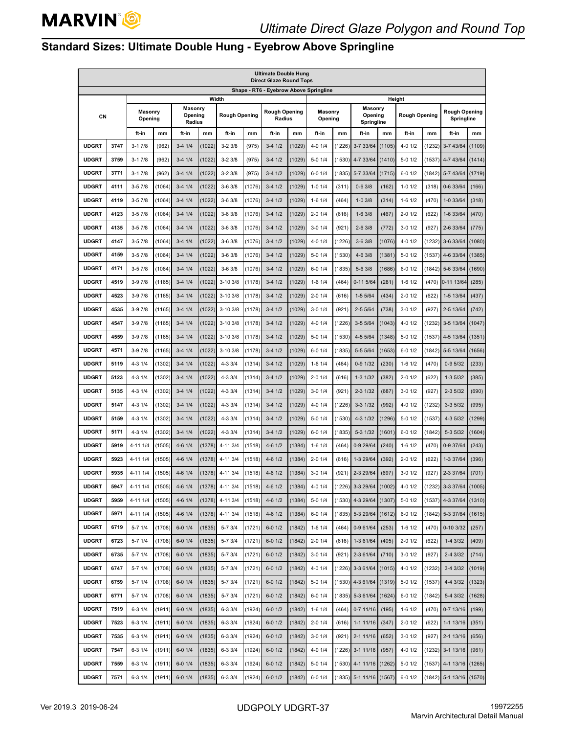# **Standard Sizes: Ultimate Double Hung - Eyebrow Above Springline**

|              | <b>Ultimate Double Hung</b><br><b>Direct Glaze Round Tops</b><br>Shape - RT6 - Eyebrow Above Springline<br>Width<br>Height |                           |        |                                     |        |               |        |                                |        |                           |        |                                                |        |                      |        |                                           |        |
|--------------|----------------------------------------------------------------------------------------------------------------------------|---------------------------|--------|-------------------------------------|--------|---------------|--------|--------------------------------|--------|---------------------------|--------|------------------------------------------------|--------|----------------------|--------|-------------------------------------------|--------|
|              |                                                                                                                            |                           |        |                                     |        |               |        |                                |        |                           |        |                                                |        |                      |        |                                           |        |
| CN           |                                                                                                                            | <b>Masonry</b><br>Opening |        | <b>Masonry</b><br>Opening<br>Radius |        | Rough Opening |        | <b>Rough Opening</b><br>Radius |        | <b>Masonry</b><br>Opening |        | <b>Masonry</b><br>Opening<br><b>Springline</b> |        | <b>Rough Opening</b> |        | <b>Rough Opening</b><br><b>Springline</b> |        |
|              |                                                                                                                            | ft-in                     | mm     | ft-in                               | mm     | ft-in         | mm     | ft-in                          | mm     | ft-in                     | mm     | ft-in                                          | mm     | ft-in                | mm     | ft-in                                     | mm     |
| <b>UDGRT</b> | 3747                                                                                                                       | $3 - 17/8$                | (962)  | $3-4$ $1/4$                         | (1022) | $3 - 23/8$    | (975)  | $3-4$ $1/2$                    | (1029) | 4-0 1/4                   | (1226) | 3-7 33/64                                      | (1105) | 4-0 1/2              | (1232) | 3-7 43/64                                 | (1109) |
| <b>UDGRT</b> | 3759                                                                                                                       | $3 - 17/8$                | (962)  | $3-41/4$                            | (1022) | $3-23/8$      | (975)  | $3-4$ $1/2$                    | (1029) | $5 - 0$ $1/4$             | (1530) | 4-7 33/64                                      | (1410) | $5 - 0$ $1/2$        | (1537) | 4-7 43/64                                 | (1414) |
| <b>UDGRT</b> | 3771                                                                                                                       | $3 - 17/8$                | (962)  | $3-41/4$                            | (1022) | $3-23/8$      | (975)  | $3-4$ $1/2$                    | (1029  | $6 - 0$ $1/4$             | (1835) | 5-7 33/64                                      | (1715) | $6 - 0$ $1/2$        | (1842) | 5-7 43/64                                 | (1719) |
| <b>UDGRT</b> | 4111                                                                                                                       | $3 - 57/8$                | (1064) | $3 - 4$ $1/4$                       | (1022) | $3-6.3/8$     | (1076  | $3-4$ $1/2$                    | (1029) | $1-0$ $1/4$               | (311)  | $0 - 6.3/8$                                    | (162)  | $1-0$ $1/2$          | (318)  | 0-6 33/64                                 | (166)  |
| <b>UDGRT</b> | 4119                                                                                                                       | $3 - 57/8$                | (1064) | $3-4$ $1/4$                         | (1022) | $3-63/8$      | (1076) | $3-41/2$                       | (1029  | $1-6$ $1/4$               | (464)  | $1 - 0.3/8$                                    | (314)  | $1-6$ $1/2$          | (470)  | 1-0 33/64                                 | (318)  |
| <b>UDGRT</b> | 4123                                                                                                                       | $3 - 57/8$                | (1064) | $3-4$ $1/4$                         | (1022) | $3-63/8$      | (1076) | $3-4$ $1/2$                    | (1029  | $2 - 0$ 1/4               | (616)  | $1 - 63/8$                                     | (467)  | $2 - 0$ $1/2$        | (622)  | 1-6 33/64                                 | (470)  |
| <b>UDGRT</b> | 4135                                                                                                                       | $3 - 57/8$                | (1064) | $3-4$ $1/4$                         | (1022) | $3 - 63/8$    | (1076) | $3-4$ $1/2$                    | (1029) | $3-0$ $1/4$               | (921)  | $2 - 63/8$                                     | (772)  | $3-0$ $1/2$          | (927)  | 2-6 33/64                                 | (775)  |
| <b>UDGRT</b> | 4147                                                                                                                       | $3-57/8$                  | (1064) | $3-4$ $1/4$                         | (1022) | $3-63/8$      | (1076) | $3-4$ $1/2$                    | (1029) | 4-0 1/4                   | (1226) | $3-63/8$                                       | (1076) | $4 - 0$ $1/2$        | (1232) | 3-6 33/64                                 | (1080) |
| <b>UDGRT</b> | 4159                                                                                                                       | $3 - 57/8$                | (1064) | $3-4$ $1/4$                         | (1022) | $3-63/8$      | (1076) | $3-4$ $1/2$                    | (1029) | $5 - 0$ $1/4$             | (1530) | $4 - 63/8$                                     | (1381) | $5 - 0$ $1/2$        | (1537) | 4-6 33/64                                 | (1385) |
| <b>UDGRT</b> | 4171                                                                                                                       | $3 - 57/8$                | (1064) | $3-41/4$                            | (1022) | $3-63/8$      | (1076) | $3-4$ $1/2$                    | (1029) | $6 - 0$ $1/4$             | (1835) | $5 - 63/8$                                     | (1686) | $6 - 0$ $1/2$        | (1842) | 5-6 33/64                                 | (1690) |
| <b>UDGRT</b> | 4519                                                                                                                       | $3-97/8$                  | (1165) | $3-41/4$                            | (1022) | $3-103/8$     | (1178  | $3-4$ $1/2$                    | (1029  | $1-6$ $1/4$               | (464)  | $0-115/64$                                     | (281)  | $1-6$ $1/2$          | (470)  | 0-11 13/64                                | (285)  |
| <b>UDGRT</b> | 4523                                                                                                                       | $3-97/8$                  | (1165) | $3-4$ $1/4$                         | (1022) | $3-103/8$     | (1178) | $3-4$ $1/2$                    | (1029) | $2 - 0$ $1/4$             | (616)  | 1-5 5/64                                       | (434)  | $2 - 0$ $1/2$        | (622)  | 1-5 13/64                                 | (437)  |
| <b>UDGRT</b> | 4535                                                                                                                       | 3-9 7/8                   | (1165) | $3-41/4$                            | (1022) | $3-103/8$     | (1178) | $3-4$ $1/2$                    | (1029) | $3-0$ $1/4$               | (921)  | 2-5 5/64                                       | (738)  | $3-0$ $1/2$          | (927)  | 2-5 13/64                                 | (742)  |
| <b>UDGRT</b> | 4547                                                                                                                       | $3-97/8$                  | (1165) | $3-41/4$                            | (1022) | $3 - 103/8$   | (1178) | $3-4$ $1/2$                    | (1029  | 4-0 1/4                   | (1226) | 3-5 5/64                                       | (1043) | $4 - 0$ $1/2$        | (1232) | 3-5 13/64                                 | (1047) |
| <b>UDGRT</b> | 4559                                                                                                                       | 3-9 7/8                   | (1165) | $3-41/4$                            | (1022) | 3-10 3/8      | (1178) | $3-41/2$                       | (1029) | 5-0 1/4                   | (1530) | 4-5 5/64                                       | (1348) | $5 - 0$ $1/2$        | (1537) | 4-5 13/64                                 | (1351) |
| <b>UDGRT</b> | 4571                                                                                                                       | $3-97/8$                  | (1165) | $3-41/4$                            | (1022) | 3-10 3/8      | (1178  | $3-4$ $1/2$                    | (1029  | $6 - 0$ $1/4$             | (1835  | 5-5 5/64                                       | (1653) | $6 - 0$ $1/2$        | (1842) | 5-5 13/64                                 | (1656) |
| <b>UDGRT</b> | 5119                                                                                                                       | $4 - 31/4$                | (1302) | $3-4$ $1/4$                         | (1022) | 4-3 3/4       | (1314) | $3-4$ $1/2$                    | (1029) | $1-6$ $1/4$               | (464)  | $0-9$ $1/32$                                   | (230)  | $1-6$ $1/2$          | (470)  | $0-95/32$                                 | (233)  |
| <b>UDGRT</b> | 5123                                                                                                                       | $4 - 31/4$                | (1302) | $3-4$ $1/4$                         | (1022) | 4-3 3/4       | (1314) | $3-41/2$                       | (1029  | $2 - 0$ $1/4$             | (616)  | 1-3 1/32                                       | (382)  | $2 - 0$ $1/2$        | (622)  | 1-3 5/32                                  | (385)  |
| <b>UDGRT</b> | 5135                                                                                                                       | $4 - 31/4$                | (1302) | $3-4$ $1/4$                         | (1022) | 4-3 3/4       | (1314) | $3-4$ $1/2$                    | (1029) | $3-0$ $1/4$               | (921)  | 2-3 1/32                                       | (687)  | $3-0$ $1/2$          | (927)  | $2 - 35/32$                               | (690)  |
| <b>UDGRT</b> | 5147                                                                                                                       | $4 - 3$ $1/4$             | (1302) | $3-4$ $1/4$                         | (1022) | 4-3 3/4       | (1314) | $3-4$ $1/2$                    | (1029) | 4-0 1/4                   | (1226) | 3-3 1/32                                       | (992)  | 4-0 1/2              | (1232) | $3-35/32$                                 | (995)  |
| <b>UDGRT</b> | 5159                                                                                                                       | $4 - 3$ $1/4$             | (1302) | $3-41/4$                            | (1022) | 4-3 3/4       | (1314  | $3-4$ $1/2$                    | (1029  | $5 - 0$ $1/4$             | (1530) | 4-3 1/32                                       | (1296) | $5-0$ $1/2$          | (1537) | 4-3 5/32                                  | (1299) |
| <b>UDGRT</b> | 5171                                                                                                                       | 4-3 1/4                   | (1302) | $3-41/4$                            | (1022) | 4-3 3/4       | (1314  | $3-4$ $1/2$                    | (1029) | $6 - 0$ $1/4$             | (1835) | 5-3 1/32                                       | (1601) | $6 - 0$ $1/2$        | (1842) | 5-3 5/32                                  | (1604) |
| <b>UDGRT</b> | 5919                                                                                                                       | 4-11 1/4                  | (1505) | 4-6 1/4                             | (1378) | 4-113/4       | (1518) | 4-6 1/2                        | (1384) | $1-6$ $1/4$               | (464)  | 0-9 29/64                                      | (240)  | $1-6$ $1/2$          | (470)  | 0-9 37/64                                 | (243)  |
| <b>UDGRT</b> | 5923                                                                                                                       | 4-11 1/4                  | (1505) | $4 - 6$ $1/4$                       | (1378) | 4-11 3/4      | (1518) | $4 - 6$ $1/2$                  | (1384) | $2 - 0$ $1/4$             | (616)  | 1-3 29/64                                      | (392)  | $2 - 0$ $1/2$        | (622)  | 1-3 37/64                                 | (396)  |
| <b>UDGRT</b> | 5935                                                                                                                       | 4-11 1/4                  | (1505) | $4-6$ $1/4$                         | (1378) | 4-11 3/4      | (1518) | $4 - 6$ $1/2$                  | (1384) | $3-0$ $1/4$               | (921)  | 2-3 29/64                                      | (697)  | $3-0$ $1/2$          | (927)  | 2-3 37/64                                 | (701)  |
| <b>UDGRT</b> | 5947                                                                                                                       | 4-11 1/4                  | (1505) | $4-6$ $1/4$                         | (1378) | 4-11 3/4      | (1518) | 4-6 1/2                        | (1384) | $4-0$ $1/4$               |        | $(1226)$ 3-3 29/64 $(1002)$                    |        | 4-0 1/2              | (1232) | 3-3 37/64                                 | (1005) |
| <b>UDGRT</b> | 5959                                                                                                                       | 4-11 1/4                  | (1505) | 4-6 1/4                             | (1378) | 4-113/4       | (1518) | $4-6$ $1/2$                    | (1384) | $5 - 0$ $1/4$             |        | (1530) 4-3 29/64                               | (1307) | $5 - 0$ $1/2$        | (1537) | 4-3 37/64                                 | (1310) |
| <b>UDGRT</b> | 5971                                                                                                                       | 4-11 1/4                  | (1505) | 4-6 1/4                             | (1378) | 4-113/4       | (1518) | $4-6$ $1/2$                    | (1384) | $6 - 0$ $1/4$             |        | (1835) 5-3 29/64                               | (1612) | $6 - 0$ $1/2$        |        | (1842) 5-3 37/64                          | (1615) |
| <b>UDGRT</b> | 6719                                                                                                                       | 5-7 1/4                   | (1708) | $6 - 0$ $1/4$                       | (1835) | $5 - 73/4$    | (1721) | $6 - 0$ $1/2$                  | (1842) | $1-6$ $1/4$               |        | $(464)$ 0-9 61/64                              | (253)  | $1-6$ $1/2$          | (470)  | $0-10$ $3/32$                             | (257)  |
| <b>UDGRT</b> | 6723                                                                                                                       | $5 - 7$ $1/4$             | (1708) | $6 - 0$ $1/4$                       | (1835) | 5-7 3/4       | (1721) | $6 - 0$ $1/2$                  | (1842) | $2 - 0$ $1/4$             | (616)  | 1-3 61/64                                      | (405)  | $2 - 0$ $1/2$        | (622)  | $1-4$ $3/32$                              | (409)  |
| <b>UDGRT</b> | 6735                                                                                                                       | $5 - 71/4$                | (1708) | $6 - 0$ $1/4$                       | (1835) | 5-7 3/4       | (1721) | $6 - 0$ $1/2$                  | (1842) | $3-0$ $1/4$               | (921)  | 2-3 61/64                                      | (710)  | $3 - 0$ 1/2          | (927)  | $2 - 43/32$                               | (714)  |
| <b>UDGRT</b> | 6747                                                                                                                       | $5 - 71/4$                | (1708) | $6 - 0$ $1/4$                       | (1835) | $5 - 73/4$    | (1721) | $6 - 0$ $1/2$                  | (1842) | 4-0 1/4                   |        | $(1226)$ 3-3 61/64                             | (1015) | 4-0 1/2              | (1232) | $3-4$ $3/32$                              | (1019) |
| <b>UDGRT</b> | 6759                                                                                                                       | $5 - 71/4$                | (1708) | $6 - 0$ $1/4$                       | (1835) | 5-7 3/4       | (1721) | $6 - 0$ $1/2$                  | (1842) | $5-0$ $1/4$               |        | $(1530)$ 4-3 61/64                             | (1319) | $5-0$ $1/2$          | (1537) | 4-4 3/32                                  | (1323) |
| <b>UDGRT</b> | 6771                                                                                                                       | $5 - 71/4$                | (1708) | $6 - 0$ $1/4$                       | (1835) | 5-7 3/4       | (1721) | $6 - 0$ $1/2$                  | (1842) | $6 - 0$ $1/4$             |        | $(1835)$ 5-3 61/64                             | (1624) | $6 - 0$ $1/2$        | (1842) | 5-4 3/32                                  | (1628) |
| <b>UDGRT</b> | 7519                                                                                                                       | $6 - 31/4$                | (1911) | $6 - 0$ $1/4$                       | (1835) | $6 - 33/4$    | (1924) | $6 - 0$ $1/2$                  | (1842) | $1-6$ $1/4$               | (464)  | $0-7$ 11/16                                    | (195)  | $1-6$ $1/2$          | (470)  | 0-7 13/16                                 | (199)  |
| <b>UDGRT</b> | 7523                                                                                                                       | $6 - 31/4$                | (1911) | $6 - 0$ $1/4$                       | (1835) | $6 - 33/4$    | (1924) | $6 - 0$ $1/2$                  | (1842) | $2 - 0$ 1/4               | (616)  | $1-1$ 11/16                                    | (347)  | $2 - 0$ 1/2          | (622)  | 1-1 13/16                                 | (351)  |
| <b>UDGRT</b> | 7535                                                                                                                       | $6 - 31/4$                | (1911) | $6 - 0$ $1/4$                       | (1835) | $6 - 33/4$    | (1924) | $6 - 0$ $1/2$                  | (1842) | $3-0$ $1/4$               |        | $(921)$ 2-1 11/16                              | (652)  | $3-0$ $1/2$          | (927)  | 2-1 13/16                                 | (656)  |
| <b>UDGRT</b> | 7547                                                                                                                       | $6 - 31/4$                | (1911) | $6 - 0$ $1/4$                       | (1835) | $6 - 3$ $3/4$ | (1924) | $6 - 0$ $1/2$                  | (1842) | $4 - 0$ $1/4$             |        | $(1226)$ 3-1 11/16                             | (957)  | 4-0 1/2              |        | (1232) 3-1 13/16                          | (961)  |
| <b>UDGRT</b> | 7559                                                                                                                       | $6 - 31/4$                | (1911) | $6 - 0$ $1/4$                       | (1835) | $6 - 3$ $3/4$ | (1924) | $6 - 0$ $1/2$                  | (1842) | $5-0$ $1/4$               |        | $(1530)$ 4-1 11/16 (1262)                      |        | $5-0$ $1/2$          | (1537) | 4-1 13/16                                 | (1265) |
| <b>UDGRT</b> | 7571                                                                                                                       | $6 - 31/4$                | (1911) | $6 - 0$ $1/4$                       | (1835) | $6 - 33/4$    | (1924) | $6 - 0$ $1/2$                  | (1842) | $6 - 0$ $1/4$             |        | $(1835)$ 5-1 11/16 (1567)                      |        | $6 - 0$ $1/2$        | (1842) | 5-1 13/16 (1570)                          |        |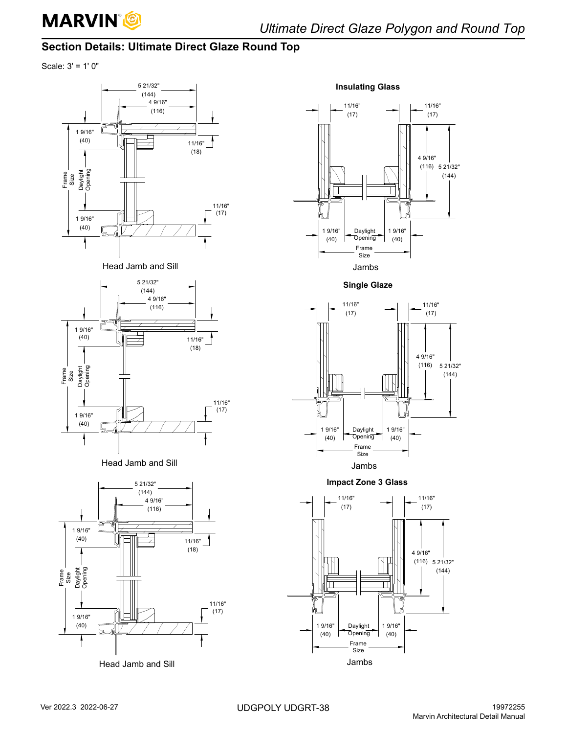

## <span id="page-39-0"></span>**Section Details: Ultimate Direct Glaze Round Top**

Scale: 3' = 1' 0"



Head Jamb and Sill



Head Jamb and Sill



Head Jamb and Sill

**Insulating Glass**



**Single Glaze**



**Impact Zone 3 Glass**

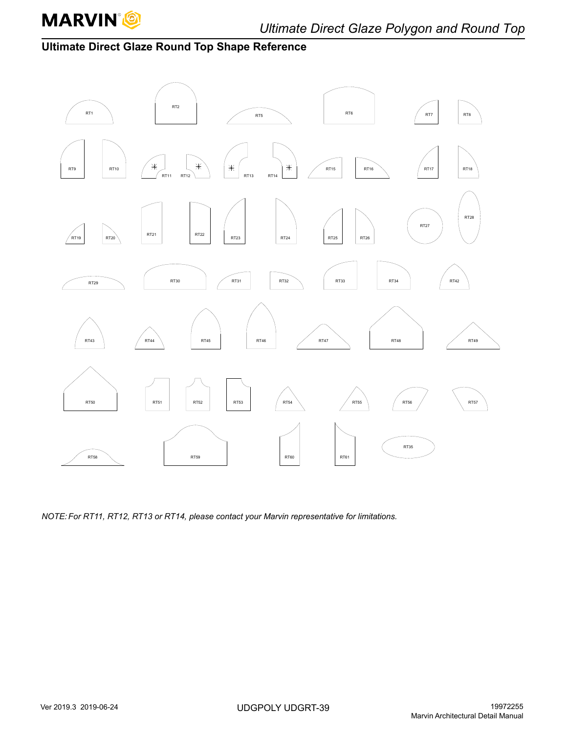

## <span id="page-40-0"></span>**Ultimate Direct Glaze Round Top Shape Reference**



*NOTE: For RT11, RT12, RT13 or RT14, please contact your Marvin representative for limitations.*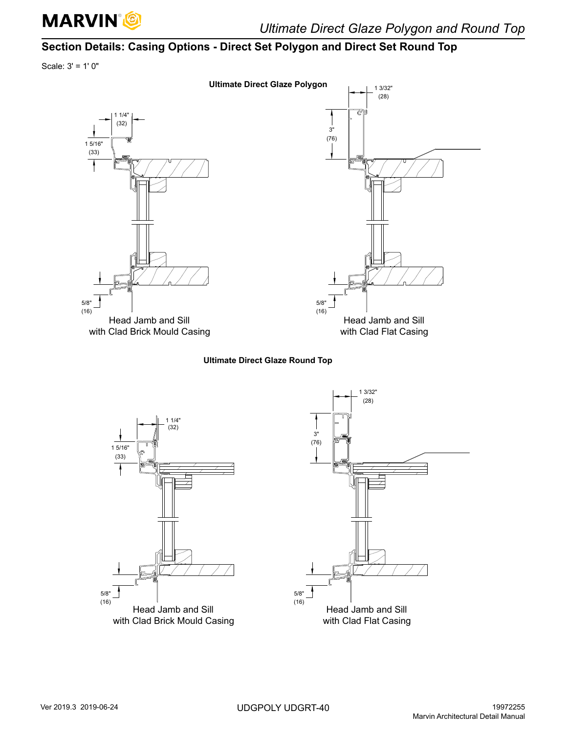

## <span id="page-41-0"></span>**Section Details: Casing Options - Direct Set Polygon and Direct Set Round Top**

Scale: 3' = 1' 0"

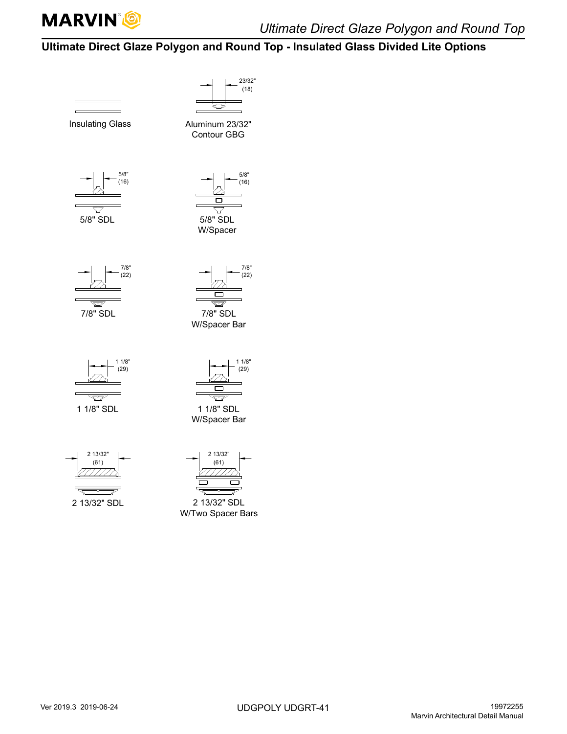

## <span id="page-42-0"></span>**Ultimate Direct Glaze Polygon and Round Top - Insulated Glass Divided Lite Options**